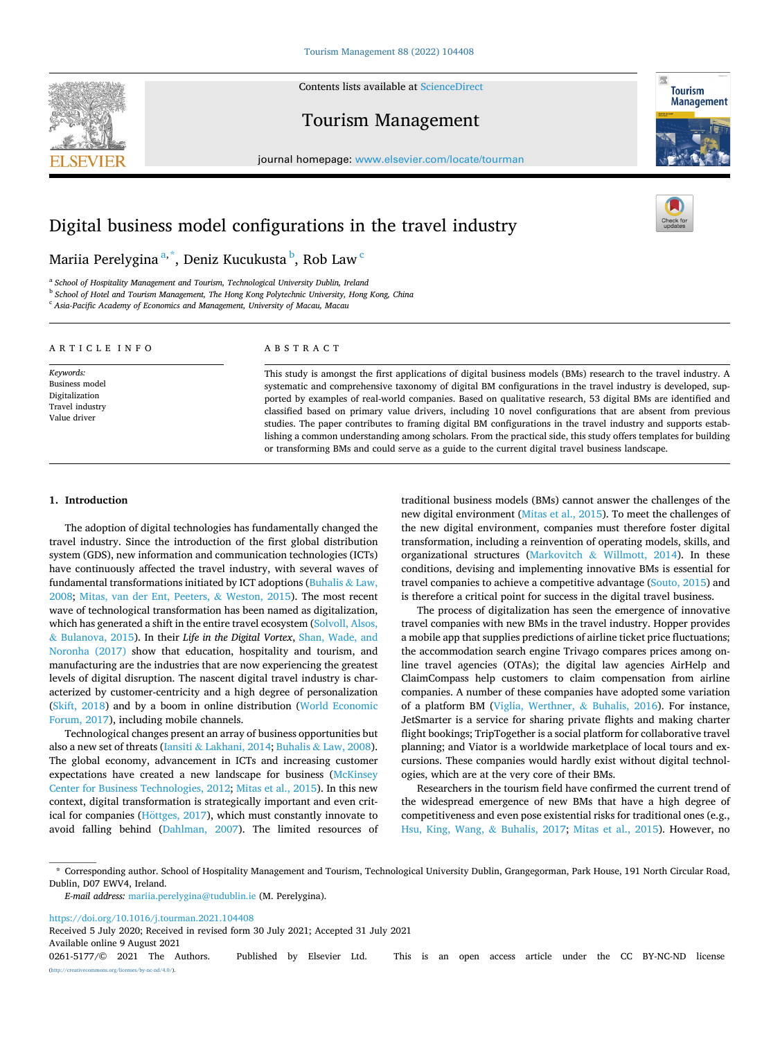Contents lists available at [ScienceDirect](www.sciencedirect.com/science/journal/02615177)







journal homepage: [www.elsevier.com/locate/tourman](https://www.elsevier.com/locate/tourman)

# Digital business model configurations in the travel industry

# Mariia Perelygina<sup>a, \*</sup>, Deniz Kucukusta <sup>b</sup>, Rob Law <sup>c</sup>

<sup>a</sup> *School of Hospitality Management and Tourism, Technological University Dublin, Ireland* 

<sup>b</sup> *School of Hotel and Tourism Management, The Hong Kong Polytechnic University, Hong Kong, China* 

<sup>c</sup> *Asia-Pacific Academy of Economics and Management, University of Macau, Macau* 

| ARTICLE INFO                                                                     | ABSTRACT                                                                                                                                                                                                                                                                                                                                                                                                                                                                                                                                                                                                                                                                                                                                                                                                 |
|----------------------------------------------------------------------------------|----------------------------------------------------------------------------------------------------------------------------------------------------------------------------------------------------------------------------------------------------------------------------------------------------------------------------------------------------------------------------------------------------------------------------------------------------------------------------------------------------------------------------------------------------------------------------------------------------------------------------------------------------------------------------------------------------------------------------------------------------------------------------------------------------------|
| Keywords:<br>Business model<br>Digitalization<br>Travel industry<br>Value driver | This study is amongst the first applications of digital business models (BMs) research to the travel industry. A<br>systematic and comprehensive taxonomy of digital BM configurations in the travel industry is developed, sup-<br>ported by examples of real-world companies. Based on qualitative research, 53 digital BMs are identified and<br>classified based on primary value drivers, including 10 novel configurations that are absent from previous<br>studies. The paper contributes to framing digital BM configurations in the travel industry and supports estab-<br>lishing a common understanding among scholars. From the practical side, this study offers templates for building<br>or transforming BMs and could serve as a guide to the current digital travel business landscape. |

#### **1. Introduction**

The adoption of digital technologies has fundamentally changed the travel industry. Since the introduction of the first global distribution system (GDS), new information and communication technologies (ICTs) have continuously affected the travel industry, with several waves of fundamental transformations initiated by ICT adoptions [\(Buhalis](#page-10-0) & Law, [2008;](#page-10-0) [Mitas, van der Ent, Peeters,](#page-11-0) & Weston, 2015). The most recent wave of technological transformation has been named as digitalization, which has generated a shift in the entire travel ecosystem (Solvoll, Alsos, & [Bulanova, 2015](#page-11-0)). In their *Life in the Digital Vortex*, [Shan, Wade, and](#page-11-0)  [Noronha \(2017\)](#page-11-0) show that education, hospitality and tourism, and manufacturing are the industries that are now experiencing the greatest levels of digital disruption. The nascent digital travel industry is characterized by customer-centricity and a high degree of personalization ([Skift, 2018](#page-11-0)) and by a boom in online distribution [\(World Economic](#page-12-0)  [Forum, 2017](#page-12-0)), including mobile channels.

Technological changes present an array of business opportunities but also a new set of threats (Iansiti & [Lakhani, 2014](#page-11-0); Buhalis & [Law, 2008](#page-10-0)). The global economy, advancement in ICTs and increasing customer expectations have created a new landscape for business (McKinsey [Center for Business Technologies, 2012; Mitas et al., 2015\)](#page-11-0). In this new context, digital transformation is strategically important and even critical for companies (Höttges, 2017), which must constantly innovate to avoid falling behind [\(Dahlman, 2007](#page-10-0)). The limited resources of traditional business models (BMs) cannot answer the challenges of the new digital environment ([Mitas et al., 2015\)](#page-11-0). To meet the challenges of the new digital environment, companies must therefore foster digital transformation, including a reinvention of operating models, skills, and organizational structures (Markovitch & [Willmott, 2014](#page-11-0)). In these conditions, devising and implementing innovative BMs is essential for travel companies to achieve a competitive advantage [\(Souto, 2015\)](#page-11-0) and is therefore a critical point for success in the digital travel business.

The process of digitalization has seen the emergence of innovative travel companies with new BMs in the travel industry. Hopper provides a mobile app that supplies predictions of airline ticket price fluctuations; the accommodation search engine Trivago compares prices among online travel agencies (OTAs); the digital law agencies AirHelp and ClaimCompass help customers to claim compensation from airline companies. A number of these companies have adopted some variation of a platform BM [\(Viglia, Werthner,](#page-11-0) & Buhalis, 2016). For instance, JetSmarter is a service for sharing private flights and making charter flight bookings; TripTogether is a social platform for collaborative travel planning; and Viator is a worldwide marketplace of local tours and excursions. These companies would hardly exist without digital technologies, which are at the very core of their BMs.

Researchers in the tourism field have confirmed the current trend of the widespread emergence of new BMs that have a high degree of competitiveness and even pose existential risks for traditional ones (e.g., [Hsu, King, Wang,](#page-11-0) & Buhalis, 2017; [Mitas et al., 2015\)](#page-11-0). However, no

<https://doi.org/10.1016/j.tourman.2021.104408>

Available online 9 August 2021

Received 5 July 2020; Received in revised form 30 July 2021; Accepted 31 July 2021

0261-5177/© 2021 The Authors. Published by Elsevier Ltd. This is an open access article under the CC BY-NC-ND license [\(http://creativecommons.org/licenses/by-nc-nd/4.0/\)](http://creativecommons.org/licenses/by-nc-nd/4.0/).

<sup>\*</sup> Corresponding author. School of Hospitality Management and Tourism, Technological University Dublin, Grangegorman, Park House, 191 North Circular Road, Dublin, D07 EWV4, Ireland.

*E-mail address:* [mariia.perelygina@tudublin.ie](mailto:mariia.perelygina@tudublin.ie) (M. Perelygina).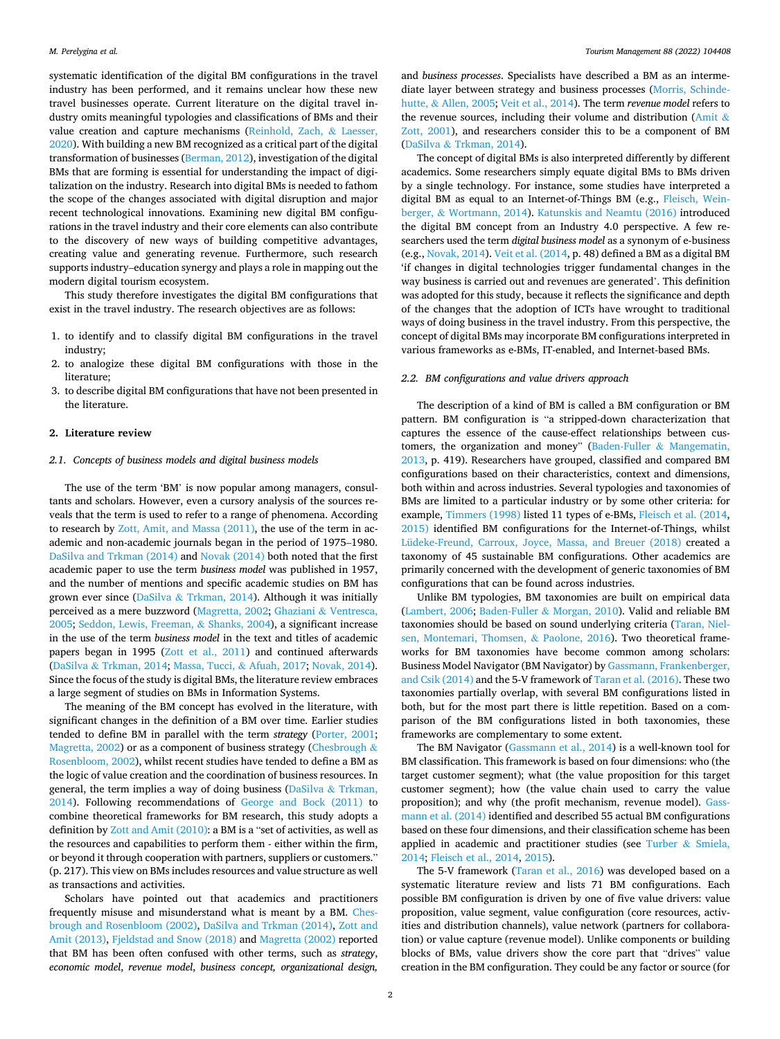systematic identification of the digital BM configurations in the travel industry has been performed, and it remains unclear how these new travel businesses operate. Current literature on the digital travel industry omits meaningful typologies and classifications of BMs and their value creation and capture mechanisms [\(Reinhold, Zach,](#page-11-0) & Laesser, [2020\)](#page-11-0). With building a new BM recognized as a critical part of the digital transformation of businesses [\(Berman, 2012](#page-10-0)), investigation of the digital BMs that are forming is essential for understanding the impact of digitalization on the industry. Research into digital BMs is needed to fathom the scope of the changes associated with digital disruption and major recent technological innovations. Examining new digital BM configurations in the travel industry and their core elements can also contribute to the discovery of new ways of building competitive advantages, creating value and generating revenue. Furthermore, such research supports industry–education synergy and plays a role in mapping out the modern digital tourism ecosystem.

This study therefore investigates the digital BM configurations that exist in the travel industry. The research objectives are as follows:

- 1. to identify and to classify digital BM configurations in the travel industry;
- 2. to analogize these digital BM configurations with those in the literature;
- 3. to describe digital BM configurations that have not been presented in the literature.

### **2. Literature review**

#### *2.1. Concepts of business models and digital business models*

The use of the term 'BM' is now popular among managers, consultants and scholars. However, even a cursory analysis of the sources reveals that the term is used to refer to a range of phenomena. According to research by [Zott, Amit, and Massa \(2011\),](#page-12-0) the use of the term in academic and non-academic journals began in the period of 1975–1980. [DaSilva and Trkman \(2014\)](#page-10-0) and [Novak \(2014\)](#page-11-0) both noted that the first academic paper to use the term *business model* was published in 1957, and the number of mentions and specific academic studies on BM has grown ever since (DaSilva & [Trkman, 2014](#page-10-0)). Although it was initially perceived as a mere buzzword ([Magretta, 2002;](#page-11-0) Ghaziani & [Ventresca,](#page-11-0)  [2005; Seddon, Lewis, Freeman,](#page-11-0) & Shanks, 2004), a significant increase in the use of the term *business model* in the text and titles of academic papers began in 1995 ([Zott et al., 2011\)](#page-12-0) and continued afterwards (DaSilva & [Trkman, 2014;](#page-10-0) [Massa, Tucci,](#page-11-0) & Afuah, 2017; [Novak, 2014](#page-11-0)). Since the focus of the study is digital BMs, the literature review embraces a large segment of studies on BMs in Information Systems.

The meaning of the BM concept has evolved in the literature, with significant changes in the definition of a BM over time. Earlier studies tended to define BM in parallel with the term *strategy* [\(Porter, 2001](#page-11-0); [Magretta, 2002\)](#page-11-0) or as a component of business strategy [\(Chesbrough](#page-10-0)  $\&$ [Rosenbloom, 2002](#page-10-0)), whilst recent studies have tended to define a BM as the logic of value creation and the coordination of business resources. In general, the term implies a way of doing business (DaSilva & [Trkman,](#page-10-0)  [2014\)](#page-10-0). Following recommendations of [George and Bock \(2011\)](#page-11-0) to combine theoretical frameworks for BM research, this study adopts a definition by [Zott and Amit \(2010\):](#page-12-0) a BM is a "set of activities, as well as the resources and capabilities to perform them - either within the firm, or beyond it through cooperation with partners, suppliers or customers." (p. 217). This view on BMs includes resources and value structure as well as transactions and activities.

Scholars have pointed out that academics and practitioners frequently misuse and misunderstand what is meant by a BM. [Ches](#page-10-0)[brough and Rosenbloom \(2002\), DaSilva and Trkman \(2014\)](#page-10-0), [Zott and](#page-12-0)  [Amit \(2013\)](#page-12-0), [Fjeldstad and Snow \(2018\)](#page-10-0) and [Magretta \(2002\)](#page-11-0) reported that BM has been often confused with other terms, such as *strategy*, *economic model*, *revenue model*, *business concept, organizational design,* 

and *business processes*. Specialists have described a BM as an intermediate layer between strategy and business processes ([Morris, Schinde](#page-11-0)hutte, & [Allen, 2005](#page-11-0); [Veit et al., 2014](#page-11-0)). The term *revenue model* refers to the revenue sources, including their volume and distribution [\(Amit](#page-10-0)  $\&$ [Zott, 2001\)](#page-10-0), and researchers consider this to be a component of BM (DaSilva & [Trkman, 2014](#page-10-0)).

The concept of digital BMs is also interpreted differently by different academics. Some researchers simply equate digital BMs to BMs driven by a single technology. For instance, some studies have interpreted a digital BM as equal to an Internet-of-Things BM (e.g., [Fleisch, Wein](#page-10-0)berger, & [Wortmann, 2014\)](#page-10-0). [Katunskis and Neamtu \(2016\)](#page-11-0) introduced the digital BM concept from an Industry 4.0 perspective. A few researchers used the term *digital business model* as a synonym of e-business (e.g., [Novak, 2014\)](#page-11-0). [Veit et al. \(2014](#page-11-0), p. 48) defined a BM as a digital BM 'if changes in digital technologies trigger fundamental changes in the way business is carried out and revenues are generated'. This definition was adopted for this study, because it reflects the significance and depth of the changes that the adoption of ICTs have wrought to traditional ways of doing business in the travel industry. From this perspective, the concept of digital BMs may incorporate BM configurations interpreted in various frameworks as e-BMs, IT-enabled, and Internet-based BMs.

#### *2.2. BM configurations and value drivers approach*

The description of a kind of BM is called a BM configuration or BM pattern. BM configuration is "a stripped-down characterization that captures the essence of the cause-effect relationships between customers, the organization and money" [\(Baden-Fuller](#page-10-0) & Mangematin, [2013,](#page-10-0) p. 419). Researchers have grouped, classified and compared BM configurations based on their characteristics, context and dimensions, both within and across industries. Several typologies and taxonomies of BMs are limited to a particular industry or by some other criteria: for example, [Timmers \(1998\)](#page-11-0) listed 11 types of e-BMs, [Fleisch et al. \(2014](#page-10-0), [2015\)](#page-10-0) identified BM configurations for the Internet-of-Things, whilst [Lüdeke-Freund, Carroux, Joyce, Massa, and Breuer \(2018\)](#page-11-0) created a taxonomy of 45 sustainable BM configurations. Other academics are primarily concerned with the development of generic taxonomies of BM configurations that can be found across industries.

Unlike BM typologies, BM taxonomies are built on empirical data ([Lambert, 2006;](#page-11-0) Baden-Fuller & [Morgan, 2010](#page-10-0)). Valid and reliable BM taxonomies should be based on sound underlying criteria [\(Taran, Niel](#page-11-0)[sen, Montemari, Thomsen,](#page-11-0) & Paolone, 2016). Two theoretical frameworks for BM taxonomies have become common among scholars: Business Model Navigator (BM Navigator) by [Gassmann, Frankenberger,](#page-11-0)  [and Csik \(2014\)](#page-11-0) and the 5-V framework of [Taran et al. \(2016\)](#page-11-0). These two taxonomies partially overlap, with several BM configurations listed in both, but for the most part there is little repetition. Based on a comparison of the BM configurations listed in both taxonomies, these frameworks are complementary to some extent.

The BM Navigator ([Gassmann et al., 2014\)](#page-11-0) is a well-known tool for BM classification. This framework is based on four dimensions: who (the target customer segment); what (the value proposition for this target customer segment); how (the value chain used to carry the value proposition); and why (the profit mechanism, revenue model). [Gass](#page-11-0)[mann et al. \(2014\)](#page-11-0) identified and described 55 actual BM configurations based on these four dimensions, and their classification scheme has been applied in academic and practitioner studies (see Turber  $\&$  Smiela, [2014;](#page-11-0) [Fleisch et al., 2014](#page-10-0), [2015\)](#page-10-0).

The 5-V framework ([Taran et al., 2016](#page-11-0)) was developed based on a systematic literature review and lists 71 BM configurations. Each possible BM configuration is driven by one of five value drivers: value proposition, value segment, value configuration (core resources, activities and distribution channels), value network (partners for collaboration) or value capture (revenue model). Unlike components or building blocks of BMs, value drivers show the core part that "drives" value creation in the BM configuration. They could be any factor or source (for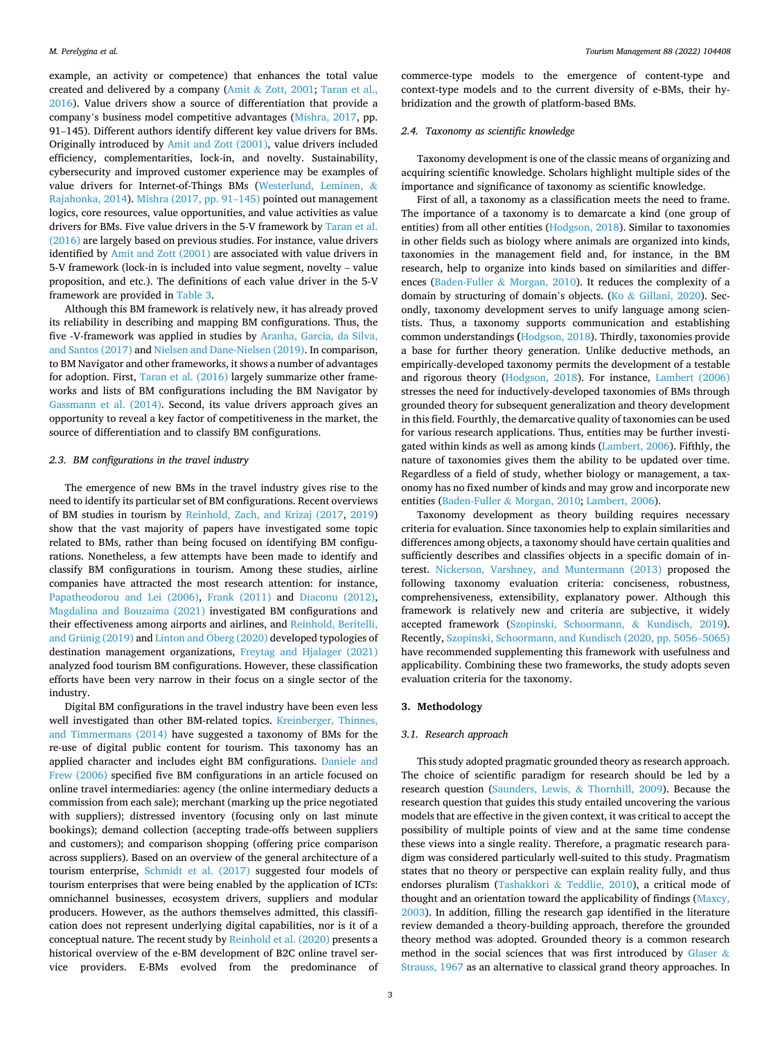example, an activity or competence) that enhances the total value created and delivered by a company (Amit & [Zott, 2001](#page-10-0); [Taran et al.,](#page-11-0)  [2016\)](#page-11-0). Value drivers show a source of differentiation that provide a company's business model competitive advantages [\(Mishra, 2017](#page-11-0), pp. 91–145). Different authors identify different key value drivers for BMs. Originally introduced by [Amit and Zott \(2001\),](#page-10-0) value drivers included efficiency, complementarities, lock-in, and novelty. Sustainability, cybersecurity and improved customer experience may be examples of value drivers for Internet-of-Things BMs ([Westerlund, Leminen,](#page-12-0) & [Rajahonka, 2014](#page-12-0)). [Mishra \(2017, pp. 91](#page-11-0)–145) pointed out management logics, core resources, value opportunities, and value activities as value drivers for BMs. Five value drivers in the 5-V framework by [Taran et al.](#page-11-0)  [\(2016\)](#page-11-0) are largely based on previous studies. For instance, value drivers identified by [Amit and Zott \(2001\)](#page-10-0) are associated with value drivers in 5-V framework (lock-in is included into value segment, novelty – value proposition, and etc.). The definitions of each value driver in the 5-V framework are provided in [Table 3](#page-7-0).

Although this BM framework is relatively new, it has already proved its reliability in describing and mapping BM configurations. Thus, the five -V-framework was applied in studies by [Aranha, Garcia, da Silva,](#page-10-0)  [and Santos \(2017\)](#page-10-0) and [Nielsen and Dane-Nielsen \(2019\).](#page-11-0) In comparison, to BM Navigator and other frameworks, it shows a number of advantages for adoption. First, [Taran et al. \(2016\)](#page-11-0) largely summarize other frameworks and lists of BM configurations including the BM Navigator by [Gassmann et al. \(2014\)](#page-11-0). Second, its value drivers approach gives an opportunity to reveal a key factor of competitiveness in the market, the source of differentiation and to classify BM configurations.

## *2.3. BM configurations in the travel industry*

The emergence of new BMs in the travel industry gives rise to the need to identify its particular set of BM configurations. Recent overviews of BM studies in tourism by [Reinhold, Zach, and Krizaj \(2017](#page-11-0), [2019\)](#page-11-0) show that the vast majority of papers have investigated some topic related to BMs, rather than being focused on identifying BM configurations. Nonetheless, a few attempts have been made to identify and classify BM configurations in tourism. Among these studies, airline companies have attracted the most research attention: for instance, [Papatheodorou and Lei \(2006\),](#page-11-0) [Frank \(2011\)](#page-11-0) and [Diaconu \(2012\)](#page-10-0), [Magdalina and Bouzaima \(2021\)](#page-11-0) investigated BM configurations and their effectiveness among airports and airlines, and [Reinhold, Beritelli,](#page-11-0)  [and Grünig \(2019\)](#page-11-0) and Linton and Öberg (2020) developed typologies of destination management organizations, [Freytag and Hjalager \(2021\)](#page-11-0)  analyzed food tourism BM configurations. However, these classification efforts have been very narrow in their focus on a single sector of the industry.

Digital BM configurations in the travel industry have been even less well investigated than other BM-related topics. [Kreinberger, Thinnes,](#page-11-0)  [and Timmermans \(2014\)](#page-11-0) have suggested a taxonomy of BMs for the re-use of digital public content for tourism. This taxonomy has an applied character and includes eight BM configurations. [Daniele and](#page-10-0)  [Frew \(2006\)](#page-10-0) specified five BM configurations in an article focused on online travel intermediaries: agency (the online intermediary deducts a commission from each sale); merchant (marking up the price negotiated with suppliers); distressed inventory (focusing only on last minute bookings); demand collection (accepting trade-offs between suppliers and customers); and comparison shopping (offering price comparison across suppliers). Based on an overview of the general architecture of a tourism enterprise, [Schmidt et al. \(2017\)](#page-11-0) suggested four models of tourism enterprises that were being enabled by the application of ICTs: omnichannel businesses, ecosystem drivers, suppliers and modular producers. However, as the authors themselves admitted, this classification does not represent underlying digital capabilities, nor is it of a conceptual nature. The recent study by [Reinhold et al. \(2020\)](#page-11-0) presents a historical overview of the e-BM development of B2C online travel service providers. E-BMs evolved from the predominance of commerce-type models to the emergence of content-type and context-type models and to the current diversity of e-BMs, their hybridization and the growth of platform-based BMs.

### *2.4. Taxonomy as scientific knowledge*

Taxonomy development is one of the classic means of organizing and acquiring scientific knowledge. Scholars highlight multiple sides of the importance and significance of taxonomy as scientific knowledge.

First of all, a taxonomy as a classification meets the need to frame. The importance of a taxonomy is to demarcate a kind (one group of entities) from all other entities ([Hodgson, 2018](#page-11-0)). Similar to taxonomies in other fields such as biology where animals are organized into kinds, taxonomies in the management field and, for instance, in the BM research, help to organize into kinds based on similarities and differences (Baden-Fuller & [Morgan, 2010](#page-10-0)). It reduces the complexity of a domain by structuring of domain's objects. (Ko & [Gillani, 2020](#page-11-0)). Secondly, taxonomy development serves to unify language among scientists. Thus, a taxonomy supports communication and establishing common understandings **(**[Hodgson, 2018](#page-11-0)). Thirdly, taxonomies provide a base for further theory generation. Unlike deductive methods, an empirically-developed taxonomy permits the development of a testable and rigorous theory [\(Hodgson, 2018](#page-11-0)). For instance, [Lambert \(2006\)](#page-11-0)  stresses the need for inductively-developed taxonomies of BMs through grounded theory for subsequent generalization and theory development in this field. Fourthly, the demarcative quality of taxonomies can be used for various research applications. Thus, entities may be further investigated within kinds as well as among kinds ([Lambert, 2006](#page-11-0)). Fifthly, the nature of taxonomies gives them the ability to be updated over time. Regardless of a field of study, whether biology or management, a taxonomy has no fixed number of kinds and may grow and incorporate new entities (Baden-Fuller & [Morgan, 2010](#page-10-0); [Lambert, 2006\)](#page-11-0).

Taxonomy development as theory building requires necessary criteria for evaluation. Since taxonomies help to explain similarities and differences among objects, a taxonomy should have certain qualities and sufficiently describes and classifies objects in a specific domain of interest. [Nickerson, Varshney, and Muntermann \(2013\)](#page-11-0) proposed the following taxonomy evaluation criteria: conciseness, robustness, comprehensiveness, extensibility, explanatory power. Although this framework is relatively new and criteria are subjective, it widely accepted framework ([Szopinski, Schoormann,](#page-11-0) & Kundisch, 2019). Recently, [Szopinski, Schoormann, and Kundisch \(2020, pp. 5056](#page-11-0)–5065) have recommended supplementing this framework with usefulness and applicability. Combining these two frameworks, the study adopts seven evaluation criteria for the taxonomy.

## **3. Methodology**

### *3.1. Research approach*

This study adopted pragmatic grounded theory as research approach. The choice of scientific paradigm for research should be led by a research question [\(Saunders, Lewis,](#page-11-0) & Thornhill, 2009). Because the research question that guides this study entailed uncovering the various models that are effective in the given context, it was critical to accept the possibility of multiple points of view and at the same time condense these views into a single reality. Therefore, a pragmatic research paradigm was considered particularly well-suited to this study. Pragmatism states that no theory or perspective can explain reality fully, and thus endorses pluralism (Tashakkori & [Teddlie, 2010](#page-11-0)), a critical mode of thought and an orientation toward the applicability of findings [\(Maxcy,](#page-11-0)  [2003\)](#page-11-0). In addition, filling the research gap identified in the literature review demanded a theory-building approach, therefore the grounded theory method was adopted. Grounded theory is a common research method in the social sciences that was first introduced by [Glaser](#page-11-0)  $\&$ [Strauss, 1967](#page-11-0) as an alternative to classical grand theory approaches. In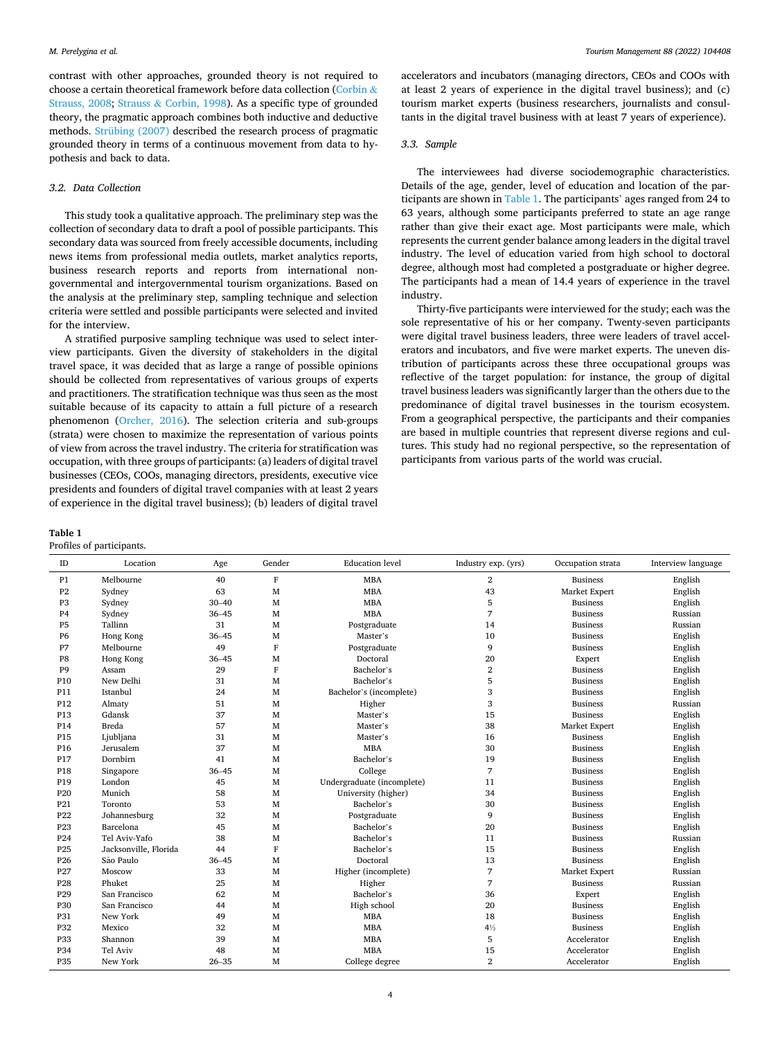contrast with other approaches, grounded theory is not required to choose a certain theoretical framework before data collection ([Corbin](#page-10-0) & [Strauss, 2008](#page-10-0); Strauss & [Corbin, 1998](#page-11-0)). As a specific type of grounded theory, the pragmatic approach combines both inductive and deductive methods. [Strübing \(2007\)](#page-11-0) described the research process of pragmatic grounded theory in terms of a continuous movement from data to hypothesis and back to data.

## *3.2. Data Collection*

This study took a qualitative approach. The preliminary step was the collection of secondary data to draft a pool of possible participants. This secondary data was sourced from freely accessible documents, including news items from professional media outlets, market analytics reports, business research reports and reports from international nongovernmental and intergovernmental tourism organizations. Based on the analysis at the preliminary step, sampling technique and selection criteria were settled and possible participants were selected and invited for the interview.

A stratified purposive sampling technique was used to select interview participants. Given the diversity of stakeholders in the digital travel space, it was decided that as large a range of possible opinions should be collected from representatives of various groups of experts and practitioners. The stratification technique was thus seen as the most suitable because of its capacity to attain a full picture of a research phenomenon ([Orcher, 2016\)](#page-11-0). The selection criteria and sub-groups (strata) were chosen to maximize the representation of various points of view from across the travel industry. The criteria for stratification was occupation, with three groups of participants: (a) leaders of digital travel businesses (CEOs, COOs, managing directors, presidents, executive vice presidents and founders of digital travel companies with at least 2 years of experience in the digital travel business); (b) leaders of digital travel

## **Table 1**

|  |  | Profiles of participants. |
|--|--|---------------------------|
|--|--|---------------------------|

accelerators and incubators (managing directors, CEOs and COOs with at least 2 years of experience in the digital travel business); and (c) tourism market experts (business researchers, journalists and consultants in the digital travel business with at least 7 years of experience).

# *3.3. Sample*

The interviewees had diverse sociodemographic characteristics. Details of the age, gender, level of education and location of the participants are shown in Table 1. The participants' ages ranged from 24 to 63 years, although some participants preferred to state an age range rather than give their exact age. Most participants were male, which represents the current gender balance among leaders in the digital travel industry. The level of education varied from high school to doctoral degree, although most had completed a postgraduate or higher degree. The participants had a mean of 14.4 years of experience in the travel industry.

Thirty-five participants were interviewed for the study; each was the sole representative of his or her company. Twenty-seven participants were digital travel business leaders, three were leaders of travel accelerators and incubators, and five were market experts. The uneven distribution of participants across these three occupational groups was reflective of the target population: for instance, the group of digital travel business leaders was significantly larger than the others due to the predominance of digital travel businesses in the tourism ecosystem. From a geographical perspective, the participants and their companies are based in multiple countries that represent diverse regions and cultures. This study had no regional perspective, so the representation of participants from various parts of the world was crucial.

| ID              | Location              | Age       | Gender       | <b>Education</b> level     | Industry exp. (yrs)     | Occupation strata | Interview language |
|-----------------|-----------------------|-----------|--------------|----------------------------|-------------------------|-------------------|--------------------|
| P1              | Melbourne             | 40        | $\mathbf{F}$ | <b>MBA</b>                 | $\overline{\mathbf{2}}$ | <b>Business</b>   | English            |
| P <sub>2</sub>  | Sydney                | 63        | M            | <b>MBA</b>                 | 43                      | Market Expert     | English            |
| P <sub>3</sub>  | Sydney                | $30 - 40$ | M            | <b>MBA</b>                 | 5                       | <b>Business</b>   | English            |
| P <sub>4</sub>  | Sydney                | $36 - 45$ | M            | <b>MBA</b>                 | 7                       | <b>Business</b>   | Russian            |
| P <sub>5</sub>  | Tallinn               | 31        | M            | Postgraduate               | 14                      | <b>Business</b>   | Russian            |
| <b>P6</b>       | Hong Kong             | $36 - 45$ | M            | Master's                   | 10                      | <b>Business</b>   | English            |
| P7              | Melbourne             | 49        | $\mathbf{F}$ | Postgraduate               | 9                       | <b>Business</b>   | English            |
| P8              | Hong Kong             | $36 - 45$ | M            | Doctoral                   | 20                      | Expert            | English            |
| P <sub>9</sub>  | Assam                 | 29        | $\mathbf{F}$ | Bachelor's                 | $\overline{2}$          | <b>Business</b>   | English            |
| P <sub>10</sub> | New Delhi             | 31        | M            | Bachelor's                 | 5                       | <b>Business</b>   | English            |
| P11             | Istanbul              | 24        | M            | Bachelor's (incomplete)    | 3                       | <b>Business</b>   | English            |
| P <sub>12</sub> | Almaty                | 51        | M            | Higher                     | 3                       | <b>Business</b>   | Russian            |
| P13             | Gdansk                | 37        | M            | Master's                   | 15                      | <b>Business</b>   | English            |
| P14             | <b>Breda</b>          | 57        | M            | Master's                   | 38                      | Market Expert     | English            |
| P15             | Ljubljana             | 31        | M            | Master's                   | 16                      | <b>Business</b>   | English            |
| P <sub>16</sub> | Jerusalem             | 37        | M            | <b>MBA</b>                 | 30                      | <b>Business</b>   | English            |
| P17             | Dornbirn              | 41        | M            | Bachelor's                 | 19                      | <b>Business</b>   | English            |
| P18             | Singapore             | $36 - 45$ | M            | College                    | $\overline{7}$          | <b>Business</b>   | English            |
| P <sub>19</sub> | London                | 45        | M            | Undergraduate (incomplete) | 11                      | <b>Business</b>   | English            |
| P <sub>20</sub> | Munich                | 58        | M            | University (higher)        | 34                      | <b>Business</b>   | English            |
| P21             | Toronto               | 53        | M            | Bachelor's                 | 30                      | <b>Business</b>   | English            |
| P <sub>22</sub> | Johannesburg          | 32        | M            | Postgraduate               | 9                       | <b>Business</b>   | English            |
| P <sub>23</sub> | Barcelona             | 45        | M            | Bachelor's                 | 20                      | <b>Business</b>   | English            |
| P <sub>24</sub> | Tel Aviv-Yafo         | 38        | M            | Bachelor's                 | 11                      | <b>Business</b>   | Russian            |
| P <sub>25</sub> | Jacksonville, Florida | 44        | $\mathbf{F}$ | Bachelor's                 | 15                      | <b>Business</b>   | English            |
| P <sub>26</sub> | São Paulo             | $36 - 45$ | M            | Doctoral                   | 13                      | <b>Business</b>   | English            |
| P <sub>27</sub> | Moscow                | 33        | M            | Higher (incomplete)        | 7                       | Market Expert     | Russian            |
| P <sub>28</sub> | Phuket                | 25        | M            | Higher                     | 7                       | Business          | Russian            |
| P <sub>29</sub> | San Francisco         | 62        | M            | Bachelor's                 | 36                      | Expert            | English            |
| P30             | San Francisco         | 44        | M            | High school                | 20                      | <b>Business</b>   | English            |
| <b>P31</b>      | New York              | 49        | M            | <b>MBA</b>                 | 18                      | <b>Business</b>   | English            |
| P32             | Mexico                | 32        | M            | <b>MBA</b>                 | $4\frac{1}{2}$          | <b>Business</b>   | English            |
| P33             | Shannon               | 39        | M            | <b>MBA</b>                 | 5                       | Accelerator       | English            |
| P34             | Tel Aviv              | 48        | M            | <b>MBA</b>                 | 15                      | Accelerator       | English            |
| <b>P35</b>      | New York              | $26 - 35$ | M            | College degree             | $\overline{2}$          | Accelerator       | English            |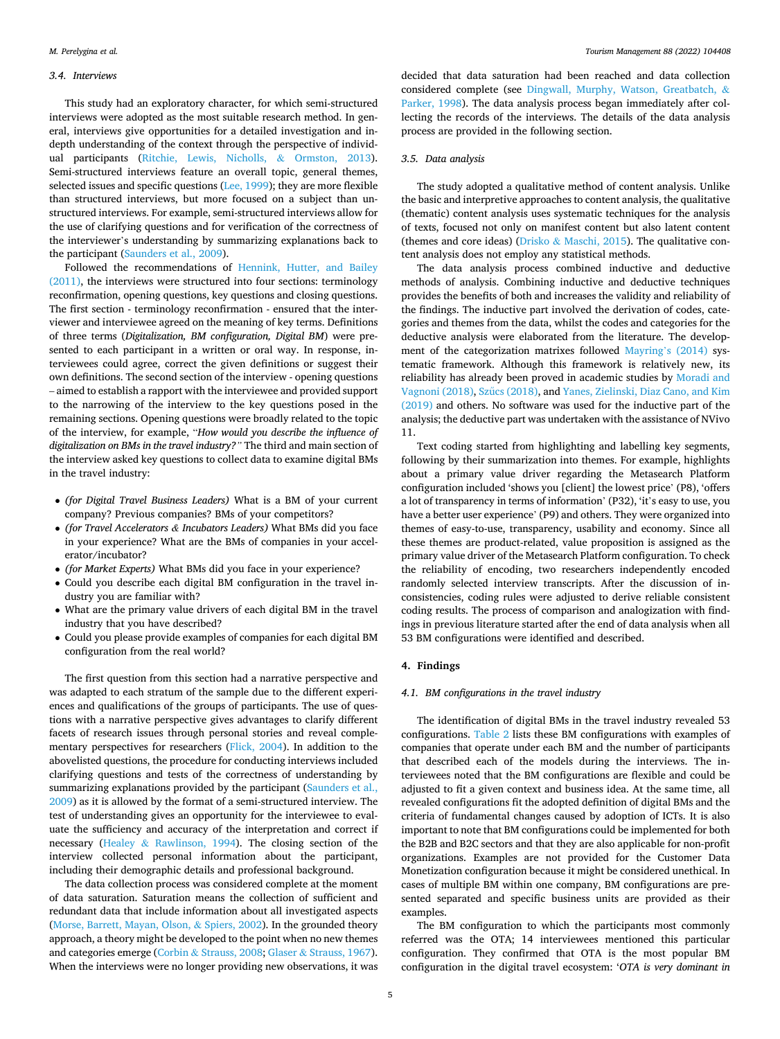#### *3.4. Interviews*

This study had an exploratory character, for which semi-structured interviews were adopted as the most suitable research method. In general, interviews give opportunities for a detailed investigation and indepth understanding of the context through the perspective of individual participants ([Ritchie, Lewis, Nicholls,](#page-11-0) & Ormston, 2013). Semi-structured interviews feature an overall topic, general themes, selected issues and specific questions [\(Lee, 1999](#page-11-0)); they are more flexible than structured interviews, but more focused on a subject than unstructured interviews. For example, semi-structured interviews allow for the use of clarifying questions and for verification of the correctness of the interviewer's understanding by summarizing explanations back to the participant [\(Saunders et al., 2009\)](#page-11-0).

Followed the recommendations of [Hennink, Hutter, and Bailey](#page-11-0)  [\(2011\),](#page-11-0) the interviews were structured into four sections: terminology reconfirmation, opening questions, key questions and closing questions. The first section - terminology reconfirmation - ensured that the interviewer and interviewee agreed on the meaning of key terms. Definitions of three terms (*Digitalization, BM configuration, Digital BM*) were presented to each participant in a written or oral way. In response, interviewees could agree, correct the given definitions or suggest their own definitions. The second section of the interview - opening questions – aimed to establish a rapport with the interviewee and provided support to the narrowing of the interview to the key questions posed in the remaining sections. Opening questions were broadly related to the topic of the interview, for example, "*How would you describe the influence of digitalization on BMs in the travel industry?"* The third and main section of the interview asked key questions to collect data to examine digital BMs in the travel industry:

- *(for Digital Travel Business Leaders)* What is a BM of your current company? Previous companies? BMs of your competitors?
- *(for Travel Accelerators & Incubators Leaders)* What BMs did you face in your experience? What are the BMs of companies in your accelerator/incubator?
- *(for Market Experts)* What BMs did you face in your experience?
- Could you describe each digital BM configuration in the travel industry you are familiar with?
- What are the primary value drivers of each digital BM in the travel industry that you have described?
- Could you please provide examples of companies for each digital BM configuration from the real world?

The first question from this section had a narrative perspective and was adapted to each stratum of the sample due to the different experiences and qualifications of the groups of participants. The use of questions with a narrative perspective gives advantages to clarify different facets of research issues through personal stories and reveal complementary perspectives for researchers ([Flick, 2004\)](#page-11-0). In addition to the abovelisted questions, the procedure for conducting interviews included clarifying questions and tests of the correctness of understanding by summarizing explanations provided by the participant (Saunders et al., [2009\)](#page-11-0) as it is allowed by the format of a semi-structured interview. The test of understanding gives an opportunity for the interviewee to evaluate the sufficiency and accuracy of the interpretation and correct if necessary (Healey & [Rawlinson, 1994](#page-11-0)). The closing section of the interview collected personal information about the participant, including their demographic details and professional background.

The data collection process was considered complete at the moment of data saturation. Saturation means the collection of sufficient and redundant data that include information about all investigated aspects ([Morse, Barrett, Mayan, Olson,](#page-11-0) & Spiers, 2002). In the grounded theory approach, a theory might be developed to the point when no new themes and categories emerge (Corbin & [Strauss, 2008;](#page-10-0) Glaser & [Strauss, 1967](#page-11-0)). When the interviews were no longer providing new observations, it was

decided that data saturation had been reached and data collection considered complete (see [Dingwall, Murphy, Watson, Greatbatch,](#page-10-0) & [Parker, 1998\)](#page-10-0). The data analysis process began immediately after collecting the records of the interviews. The details of the data analysis process are provided in the following section.

## *3.5. Data analysis*

The study adopted a qualitative method of content analysis. Unlike the basic and interpretive approaches to content analysis, the qualitative (thematic) content analysis uses systematic techniques for the analysis of texts, focused not only on manifest content but also latent content (themes and core ideas) (Drisko & [Maschi, 2015\)](#page-10-0). The qualitative content analysis does not employ any statistical methods.

The data analysis process combined inductive and deductive methods of analysis. Combining inductive and deductive techniques provides the benefits of both and increases the validity and reliability of the findings. The inductive part involved the derivation of codes, categories and themes from the data, whilst the codes and categories for the deductive analysis were elaborated from the literature. The development of the categorization matrixes followed Mayring'[s \(2014\)](#page-11-0) systematic framework. Although this framework is relatively new, its reliability has already been proved in academic studies by [Moradi and](#page-11-0)  [Vagnoni \(2018\),](#page-11-0) Szűcs [\(2018\),](#page-11-0) and Yanes, Zielinski, Diaz Cano, and Kim [\(2019\)](#page-12-0) and others. No software was used for the inductive part of the analysis; the deductive part was undertaken with the assistance of NVivo 11.

Text coding started from highlighting and labelling key segments, following by their summarization into themes. For example, highlights about a primary value driver regarding the Metasearch Platform configuration included 'shows you [client] the lowest price' (P8), 'offers a lot of transparency in terms of information' (P32), 'it's easy to use, you have a better user experience' (P9) and others. They were organized into themes of easy-to-use, transparency, usability and economy. Since all these themes are product-related, value proposition is assigned as the primary value driver of the Metasearch Platform configuration. To check the reliability of encoding, two researchers independently encoded randomly selected interview transcripts. After the discussion of inconsistencies, coding rules were adjusted to derive reliable consistent coding results. The process of comparison and analogization with findings in previous literature started after the end of data analysis when all 53 BM configurations were identified and described.

## **4. Findings**

## *4.1. BM configurations in the travel industry*

The identification of digital BMs in the travel industry revealed 53 configurations. [Table 2](#page-5-0) lists these BM configurations with examples of companies that operate under each BM and the number of participants that described each of the models during the interviews. The interviewees noted that the BM configurations are flexible and could be adjusted to fit a given context and business idea. At the same time, all revealed configurations fit the adopted definition of digital BMs and the criteria of fundamental changes caused by adoption of ICTs. It is also important to note that BM configurations could be implemented for both the B2B and B2C sectors and that they are also applicable for non-profit organizations. Examples are not provided for the Customer Data Monetization configuration because it might be considered unethical. In cases of multiple BM within one company, BM configurations are presented separated and specific business units are provided as their examples.

The BM configuration to which the participants most commonly referred was the OTA; 14 interviewees mentioned this particular configuration. They confirmed that OTA is the most popular BM configuration in the digital travel ecosystem: '*OTA is very dominant in*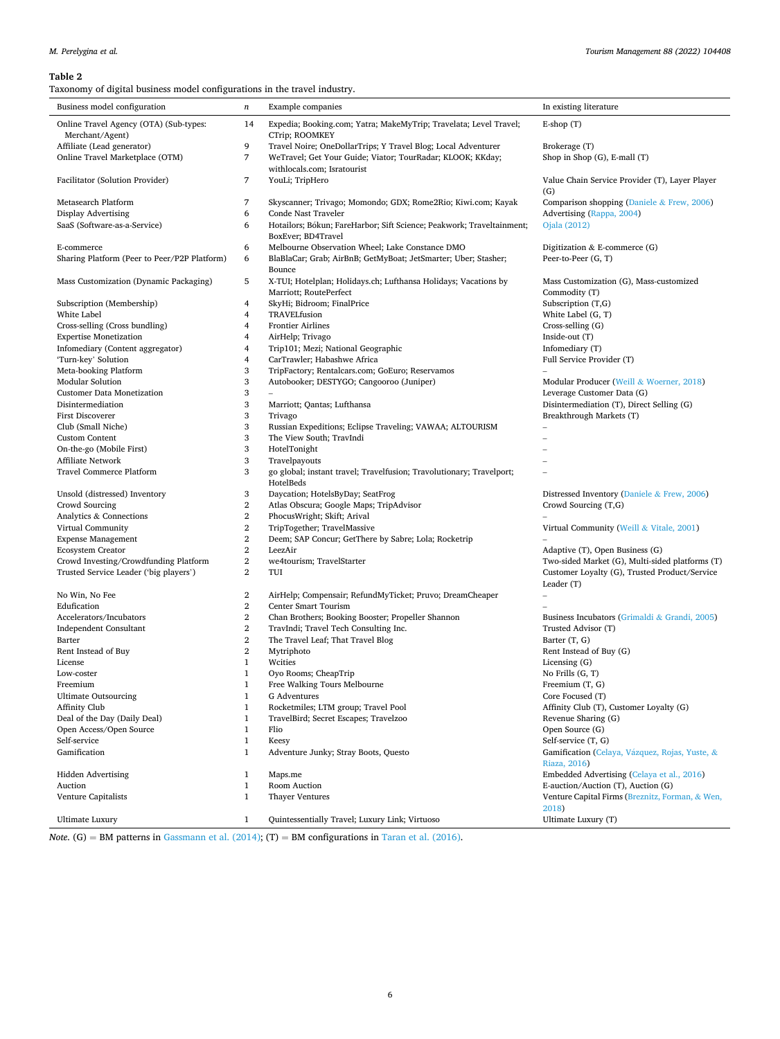## <span id="page-5-0"></span>**Table 2**

| Business model configuration                              | $\boldsymbol{n}$        | Example companies                                                                           | In existing literature                                         |
|-----------------------------------------------------------|-------------------------|---------------------------------------------------------------------------------------------|----------------------------------------------------------------|
| Online Travel Agency (OTA) (Sub-types:<br>Merchant/Agent) | 14                      | Expedia; Booking.com; Yatra; MakeMyTrip; Travelata; Level Travel;<br>CTrip; ROOMKEY         | $E$ -shop $(T)$                                                |
| Affiliate (Lead generator)                                | 9                       | Travel Noire; OneDollarTrips; Y Travel Blog; Local Adventurer                               | Brokerage (T)                                                  |
| Online Travel Marketplace (OTM)                           | 7                       | WeTravel; Get Your Guide; Viator; TourRadar; KLOOK; KKday;<br>withlocals.com; Isratourist   | Shop in Shop (G), E-mall (T)                                   |
| Facilitator (Solution Provider)                           | 7                       | YouLi; TripHero                                                                             | Value Chain Service Provider (T), Layer Player<br>(G)          |
| Metasearch Platform                                       | 7                       | Skyscanner; Trivago; Momondo; GDX; Rome2Rio; Kiwi.com; Kayak                                | Comparison shopping (Daniele & Frew, 2006)                     |
| Display Advertising                                       | 6                       | Conde Nast Traveler                                                                         | Advertising (Rappa, 2004)                                      |
| SaaS (Software-as-a-Service)                              | 6                       | Hotailors; Bókun; FareHarbor; Sift Science; Peakwork; Traveltainment;<br>BoxEver; BD4Travel | Ojala (2012)                                                   |
| E-commerce                                                | 6                       | Melbourne Observation Wheel; Lake Constance DMO                                             | Digitization $&$ E-commerce $(G)$                              |
| Sharing Platform (Peer to Peer/P2P Platform)              | 6                       | BlaBlaCar; Grab; AirBnB; GetMyBoat; JetSmarter; Uber; Stasher;<br>Bounce                    | Peer-to-Peer (G, T)                                            |
| Mass Customization (Dynamic Packaging)                    | 5                       | X-TUI; Hotelplan; Holidays.ch; Lufthansa Holidays; Vacations by<br>Marriott; RoutePerfect   | Mass Customization (G), Mass-customized<br>Commodity (T)       |
| Subscription (Membership)                                 | 4                       | SkyHi; Bidroom; FinalPrice                                                                  | Subscription $(T,G)$                                           |
| White Label                                               | 4                       | TRAVELfusion                                                                                | White Label (G, T)                                             |
| Cross-selling (Cross bundling)                            | 4                       | <b>Frontier Airlines</b>                                                                    | Cross-selling (G)                                              |
| <b>Expertise Monetization</b>                             | 4                       | AirHelp; Trivago                                                                            | Inside-out $(T)$                                               |
| Infomediary (Content aggregator)                          | 4                       | Trip101; Mezi; National Geographic                                                          | Infomediary (T)                                                |
| 'Turn-key' Solution                                       | 4                       | CarTrawler; Habashwe Africa                                                                 | Full Service Provider (T)                                      |
| Meta-booking Platform                                     | 3                       | TripFactory; Rentalcars.com; GoEuro; Reservamos                                             |                                                                |
| <b>Modular Solution</b>                                   | 3                       | Autobooker; DESTYGO; Cangooroo (Juniper)                                                    | Modular Producer (Weill & Woerner, 2018)                       |
| <b>Customer Data Monetization</b>                         | 3                       |                                                                                             | Leverage Customer Data (G)                                     |
| Disintermediation                                         | 3                       | Marriott; Qantas; Lufthansa                                                                 | Disintermediation (T), Direct Selling (G)                      |
| First Discoverer                                          | 3                       | Trivago                                                                                     | Breakthrough Markets (T)                                       |
| Club (Small Niche)                                        | 3                       | Russian Expeditions; Eclipse Traveling; VAWAA; ALTOURISM                                    |                                                                |
| <b>Custom Content</b>                                     | 3                       | The View South; TravIndi                                                                    |                                                                |
| On-the-go (Mobile First)                                  | 3                       | HotelTonight                                                                                |                                                                |
| Affiliate Network                                         | 3                       | Travelpayouts                                                                               |                                                                |
| Travel Commerce Platform                                  | 3                       | go global; instant travel; Travelfusion; Travolutionary; Travelport;<br>HotelBeds           |                                                                |
| Unsold (distressed) Inventory                             | 3                       | Daycation; HotelsByDay; SeatFrog                                                            | Distressed Inventory (Daniele & Frew, 2006)                    |
| Crowd Sourcing                                            | $\overline{2}$          | Atlas Obscura; Google Maps; TripAdvisor                                                     | Crowd Sourcing (T,G)                                           |
| Analytics & Connections                                   | $\boldsymbol{2}$        | PhocusWright; Skift; Arival                                                                 |                                                                |
| Virtual Community                                         | $\boldsymbol{2}$        | TripTogether; TravelMassive                                                                 | Virtual Community (Weill & Vitale, 2001)                       |
| <b>Expense Management</b>                                 | $\overline{2}$          | Deem; SAP Concur; GetThere by Sabre; Lola; Rocketrip                                        |                                                                |
| <b>Ecosystem Creator</b>                                  | $\boldsymbol{2}$        | LeezAir                                                                                     | Adaptive (T), Open Business (G)                                |
| Crowd Investing/Crowdfunding Platform                     | $\boldsymbol{2}$        | we4tourism; TravelStarter                                                                   | Two-sided Market (G), Multi-sided platforms (T)                |
| Trusted Service Leader ('big players')                    | $\overline{2}$          | TUI                                                                                         | Customer Loyalty (G), Trusted Product/Service<br>Leader (T)    |
| No Win, No Fee                                            | 2                       | AirHelp; Compensair; RefundMyTicket; Pruvo; DreamCheaper                                    | $\overline{a}$                                                 |
| Edufication                                               | $\boldsymbol{2}$        | Center Smart Tourism                                                                        |                                                                |
| Accelerators/Incubators                                   | $\overline{\mathbf{2}}$ | Chan Brothers; Booking Booster; Propeller Shannon                                           | Business Incubators (Grimaldi & Grandi, 2005)                  |
| <b>Independent Consultant</b>                             | $\boldsymbol{2}$        | TravIndi; Travel Tech Consulting Inc.                                                       | Trusted Advisor (T)                                            |
| Barter                                                    | $\boldsymbol{2}$        | The Travel Leaf; That Travel Blog                                                           | Barter (T, G)                                                  |
| Rent Instead of Buy                                       | $\,2$                   | Mytriphoto                                                                                  | Rent Instead of Buy (G)                                        |
| License                                                   | $\mathbf{1}$            | Wcities                                                                                     | Licensing $(G)$                                                |
| Low-coster                                                | $\mathbf{1}$            | Oyo Rooms; CheapTrip                                                                        | No Frills (G, T)                                               |
| Freemium                                                  | $\mathbf{1}$            | Free Walking Tours Melbourne                                                                | Freemium $(T, G)$                                              |
| <b>Ultimate Outsourcing</b>                               | $\mathbf{1}$            | G Adventures                                                                                | Core Focused (T)                                               |
| Affinity Club                                             | $\mathbf{1}$            | Rocketmiles; LTM group; Travel Pool                                                         | Affinity Club (T), Customer Loyalty (G)                        |
| Deal of the Day (Daily Deal)                              | $\mathbf{1}$            | TravelBird; Secret Escapes; Travelzoo                                                       | Revenue Sharing (G)                                            |
| Open Access/Open Source                                   | $\mathbf{1}$            | Flio                                                                                        | Open Source (G)                                                |
| Self-service                                              | $\mathbf 1$             | Keesy                                                                                       | Self-service (T, G)                                            |
| Gamification                                              | $\mathbf{1}$            | Adventure Junky; Stray Boots, Questo                                                        | Gamification (Celaya, Vázquez, Rojas, Yuste, &<br>Riaza, 2016) |
| Hidden Advertising                                        | 1                       | Maps.me                                                                                     | Embedded Advertising (Celaya et al., 2016)                     |
| Auction                                                   | $\mathbf{1}$            | Room Auction                                                                                | E-auction/Auction (T), Auction (G)                             |
| Venture Capitalists                                       | $\mathbf{1}$            | <b>Thayer Ventures</b>                                                                      | Venture Capital Firms (Breznitz, Forman, & Wen,<br>2018)       |
| <b>Ultimate Luxury</b>                                    | $\mathbf{1}$            | Quintessentially Travel; Luxury Link; Virtuoso                                              | Ultimate Luxury (T)                                            |

*Note*. (G) = BM patterns in [Gassmann et al. \(2014\)](#page-11-0); (T) = BM configurations in [Taran et al. \(2016\).](#page-11-0)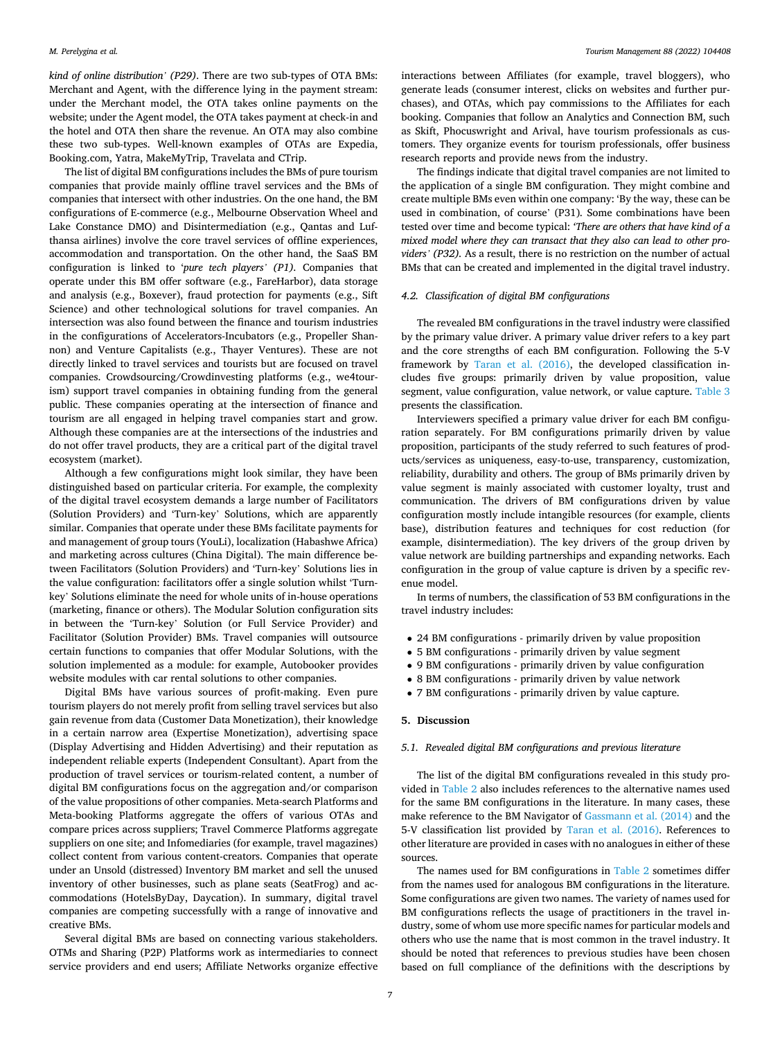*kind of online distribution' (P29)*. There are two sub-types of OTA BMs: Merchant and Agent, with the difference lying in the payment stream: under the Merchant model, the OTA takes online payments on the website; under the Agent model, the OTA takes payment at check-in and the hotel and OTA then share the revenue. An OTA may also combine these two sub-types. Well-known examples of OTAs are Expedia, Booking.com, Yatra, MakeMyTrip, Travelata and CTrip.

The list of digital BM configurations includes the BMs of pure tourism companies that provide mainly offline travel services and the BMs of companies that intersect with other industries. On the one hand, the BM configurations of E-commerce (e.g., Melbourne Observation Wheel and Lake Constance DMO) and Disintermediation (e.g., Qantas and Lufthansa airlines) involve the core travel services of offline experiences, accommodation and transportation. On the other hand, the SaaS BM configuration is linked to '*pure tech players' (P1).* Companies that operate under this BM offer software (e.g., FareHarbor), data storage and analysis (e.g., Boxever), fraud protection for payments (e.g., Sift Science) and other technological solutions for travel companies. An intersection was also found between the finance and tourism industries in the configurations of Accelerators-Incubators (e.g., Propeller Shannon) and Venture Capitalists (e.g., Thayer Ventures). These are not directly linked to travel services and tourists but are focused on travel companies. Crowdsourcing/Crowdinvesting platforms (e.g., we4tourism) support travel companies in obtaining funding from the general public. These companies operating at the intersection of finance and tourism are all engaged in helping travel companies start and grow. Although these companies are at the intersections of the industries and do not offer travel products, they are a critical part of the digital travel ecosystem (market).

Although a few configurations might look similar, they have been distinguished based on particular criteria. For example, the complexity of the digital travel ecosystem demands a large number of Facilitators (Solution Providers) and 'Turn-key' Solutions, which are apparently similar. Companies that operate under these BMs facilitate payments for and management of group tours (YouLi), localization (Habashwe Africa) and marketing across cultures (China Digital). The main difference between Facilitators (Solution Providers) and 'Turn-key' Solutions lies in the value configuration: facilitators offer a single solution whilst 'Turnkey' Solutions eliminate the need for whole units of in-house operations (marketing, finance or others). The Modular Solution configuration sits in between the 'Turn-key' Solution (or Full Service Provider) and Facilitator (Solution Provider) BMs. Travel companies will outsource certain functions to companies that offer Modular Solutions, with the solution implemented as a module: for example, Autobooker provides website modules with car rental solutions to other companies.

Digital BMs have various sources of profit-making. Even pure tourism players do not merely profit from selling travel services but also gain revenue from data (Customer Data Monetization), their knowledge in a certain narrow area (Expertise Monetization), advertising space (Display Advertising and Hidden Advertising) and their reputation as independent reliable experts (Independent Consultant). Apart from the production of travel services or tourism-related content, a number of digital BM configurations focus on the aggregation and/or comparison of the value propositions of other companies. Meta-search Platforms and Meta-booking Platforms aggregate the offers of various OTAs and compare prices across suppliers; Travel Commerce Platforms aggregate suppliers on one site; and Infomediaries (for example, travel magazines) collect content from various content-creators. Companies that operate under an Unsold (distressed) Inventory BM market and sell the unused inventory of other businesses, such as plane seats (SeatFrog) and accommodations (HotelsByDay, Daycation). In summary, digital travel companies are competing successfully with a range of innovative and creative BMs.

Several digital BMs are based on connecting various stakeholders. OTMs and Sharing (P2P) Platforms work as intermediaries to connect service providers and end users; Affiliate Networks organize effective

interactions between Affiliates (for example, travel bloggers), who generate leads (consumer interest, clicks on websites and further purchases), and OTAs, which pay commissions to the Affiliates for each booking. Companies that follow an Analytics and Connection BM, such as Skift, Phocuswright and Arival, have tourism professionals as customers. They organize events for tourism professionals, offer business research reports and provide news from the industry.

The findings indicate that digital travel companies are not limited to the application of a single BM configuration. They might combine and create multiple BMs even within one company: 'By the way, these can be used in combination, of course' (P31)*.* Some combinations have been tested over time and become typical: *'There are others that have kind of a mixed model where they can transact that they also can lead to other providers' (P32).* As a result, there is no restriction on the number of actual BMs that can be created and implemented in the digital travel industry.

### *4.2. Classification of digital BM configurations*

The revealed BM configurations in the travel industry were classified by the primary value driver. A primary value driver refers to a key part and the core strengths of each BM configuration. Following the 5-V framework by [Taran et al. \(2016\)](#page-11-0), the developed classification includes five groups: primarily driven by value proposition, value segment, value configuration, value network, or value capture. [Table 3](#page-7-0)  presents the classification.

Interviewers specified a primary value driver for each BM configuration separately. For BM configurations primarily driven by value proposition, participants of the study referred to such features of products/services as uniqueness, easy-to-use, transparency, customization, reliability, durability and others. The group of BMs primarily driven by value segment is mainly associated with customer loyalty, trust and communication. The drivers of BM configurations driven by value configuration mostly include intangible resources (for example, clients base), distribution features and techniques for cost reduction (for example, disintermediation). The key drivers of the group driven by value network are building partnerships and expanding networks. Each configuration in the group of value capture is driven by a specific revenue model.

In terms of numbers, the classification of 53 BM configurations in the travel industry includes:

- 24 BM configurations primarily driven by value proposition
- 5 BM configurations primarily driven by value segment
- 9 BM configurations primarily driven by value configuration
- 8 BM configurations primarily driven by value network
- 7 BM configurations primarily driven by value capture.

### **5. Discussion**

#### *5.1. Revealed digital BM configurations and previous literature*

The list of the digital BM configurations revealed in this study provided in [Table 2](#page-5-0) also includes references to the alternative names used for the same BM configurations in the literature. In many cases, these make reference to the BM Navigator of [Gassmann et al. \(2014\)](#page-11-0) and the 5-V classification list provided by [Taran et al. \(2016\)](#page-11-0). References to other literature are provided in cases with no analogues in either of these sources.

The names used for BM configurations in [Table 2](#page-5-0) sometimes differ from the names used for analogous BM configurations in the literature. Some configurations are given two names. The variety of names used for BM configurations reflects the usage of practitioners in the travel industry, some of whom use more specific names for particular models and others who use the name that is most common in the travel industry. It should be noted that references to previous studies have been chosen based on full compliance of the definitions with the descriptions by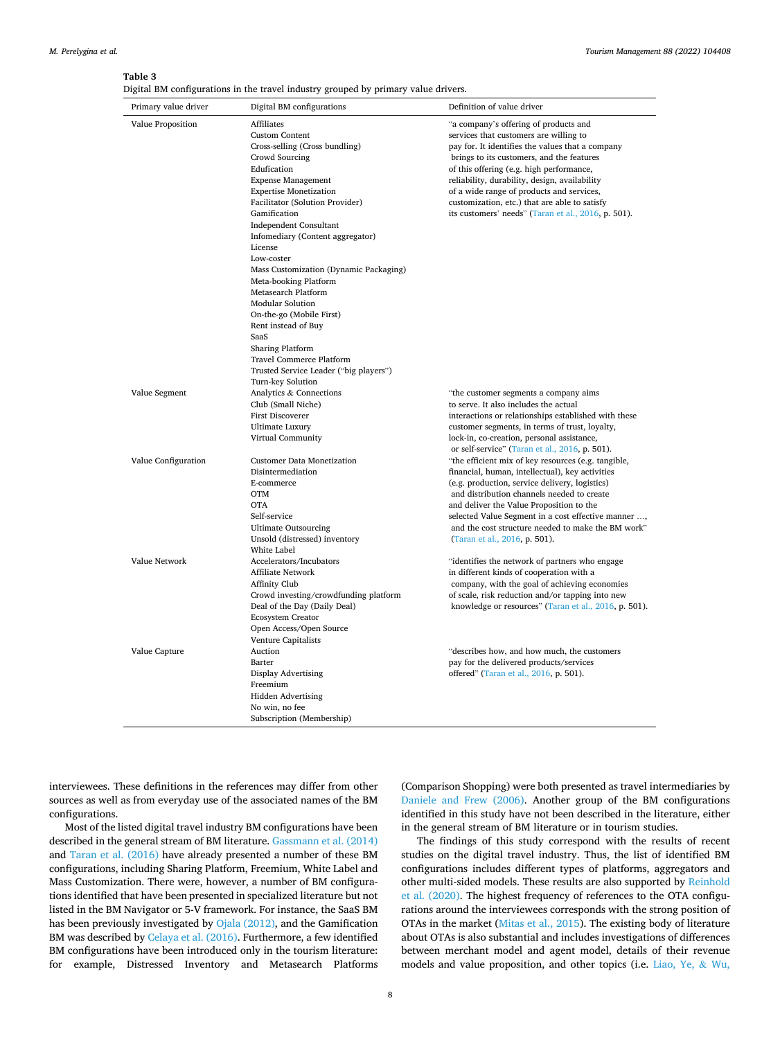#### <span id="page-7-0"></span>**Table 3**

Digital BM configurations in the travel industry grouped by primary value drivers.

| Primary value driver | Digital BM configurations                                                                                                                                                                                                                                                                                                                                                                                                                                                                                                                                                                       | Definition of value driver                                                                                                                                                                                                                                                                                                                                                                                                                         |
|----------------------|-------------------------------------------------------------------------------------------------------------------------------------------------------------------------------------------------------------------------------------------------------------------------------------------------------------------------------------------------------------------------------------------------------------------------------------------------------------------------------------------------------------------------------------------------------------------------------------------------|----------------------------------------------------------------------------------------------------------------------------------------------------------------------------------------------------------------------------------------------------------------------------------------------------------------------------------------------------------------------------------------------------------------------------------------------------|
| Value Proposition    | Affiliates<br><b>Custom Content</b><br>Cross-selling (Cross bundling)<br>Crowd Sourcing<br>Edufication<br><b>Expense Management</b><br><b>Expertise Monetization</b><br>Facilitator (Solution Provider)<br>Gamification<br>Independent Consultant<br>Infomediary (Content aggregator)<br>License<br>Low-coster<br>Mass Customization (Dynamic Packaging)<br>Meta-booking Platform<br>Metasearch Platform<br><b>Modular Solution</b><br>On-the-go (Mobile First)<br>Rent instead of Buy<br>SaaS<br><b>Sharing Platform</b><br>Travel Commerce Platform<br>Trusted Service Leader ("big players") | "a company's offering of products and<br>services that customers are willing to<br>pay for. It identifies the values that a company<br>brings to its customers, and the features<br>of this offering (e.g. high performance,<br>reliability, durability, design, availability<br>of a wide range of products and services,<br>customization, etc.) that are able to satisfy<br>its customers' needs" (Taran et al., 2016, p. 501).                 |
| Value Segment        | Turn-key Solution<br>Analytics & Connections<br>Club (Small Niche)<br>First Discoverer<br>Ultimate Luxury<br>Virtual Community                                                                                                                                                                                                                                                                                                                                                                                                                                                                  | "the customer segments a company aims<br>to serve. It also includes the actual<br>interactions or relationships established with these<br>customer segments, in terms of trust, loyalty,<br>lock-in, co-creation, personal assistance,                                                                                                                                                                                                             |
| Value Configuration  | <b>Customer Data Monetization</b><br>Disintermediation<br>E-commerce<br><b>OTM</b><br><b>OTA</b><br>Self-service<br><b>Ultimate Outsourcing</b><br>Unsold (distressed) inventory                                                                                                                                                                                                                                                                                                                                                                                                                | or self-service" (Taran et al., 2016, p. 501).<br>"the efficient mix of key resources (e.g. tangible,<br>financial, human, intellectual), key activities<br>(e.g. production, service delivery, logistics)<br>and distribution channels needed to create<br>and deliver the Value Proposition to the<br>selected Value Segment in a cost effective manner ,<br>and the cost structure needed to make the BM work"<br>(Taran et al., 2016, p. 501). |
| Value Network        | White Label<br>Accelerators/Incubators<br><b>Affiliate Network</b><br>Affinity Club<br>Crowd investing/crowdfunding platform<br>Deal of the Day (Daily Deal)<br>Ecosystem Creator<br>Open Access/Open Source<br>Venture Capitalists                                                                                                                                                                                                                                                                                                                                                             | "identifies the network of partners who engage<br>in different kinds of cooperation with a<br>company, with the goal of achieving economies<br>of scale, risk reduction and/or tapping into new<br>knowledge or resources" (Taran et al., 2016, p. 501).                                                                                                                                                                                           |
| Value Capture        | Auction<br>Barter<br>Display Advertising<br>Freemium<br><b>Hidden Advertising</b><br>No win, no fee<br>Subscription (Membership)                                                                                                                                                                                                                                                                                                                                                                                                                                                                | "describes how, and how much, the customers<br>pay for the delivered products/services<br>offered" (Taran et al., 2016, p. 501).                                                                                                                                                                                                                                                                                                                   |

interviewees. These definitions in the references may differ from other sources as well as from everyday use of the associated names of the BM configurations.

Most of the listed digital travel industry BM configurations have been described in the general stream of BM literature. [Gassmann et al. \(2014\)](#page-11-0)  and [Taran et al. \(2016\)](#page-11-0) have already presented a number of these BM configurations, including Sharing Platform, Freemium, White Label and Mass Customization. There were, however, a number of BM configurations identified that have been presented in specialized literature but not listed in the BM Navigator or 5-V framework. For instance, the SaaS BM has been previously investigated by [Ojala \(2012\)](#page-11-0), and the Gamification BM was described by [Celaya et al. \(2016\)](#page-10-0). Furthermore, a few identified BM configurations have been introduced only in the tourism literature: for example, Distressed Inventory and Metasearch Platforms

(Comparison Shopping) were both presented as travel intermediaries by [Daniele and Frew \(2006\).](#page-10-0) Another group of the BM configurations identified in this study have not been described in the literature, either in the general stream of BM literature or in tourism studies.

The findings of this study correspond with the results of recent studies on the digital travel industry. Thus, the list of identified BM configurations includes different types of platforms, aggregators and other multi-sided models. These results are also supported by [Reinhold](#page-11-0)  [et al. \(2020\)](#page-11-0). The highest frequency of references to the OTA configurations around the interviewees corresponds with the strong position of OTAs in the market [\(Mitas et al., 2015\)](#page-11-0). The existing body of literature about OTAs is also substantial and includes investigations of differences between merchant model and agent model, details of their revenue models and value proposition, and other topics (i.e. [Liao, Ye,](#page-11-0) & Wu,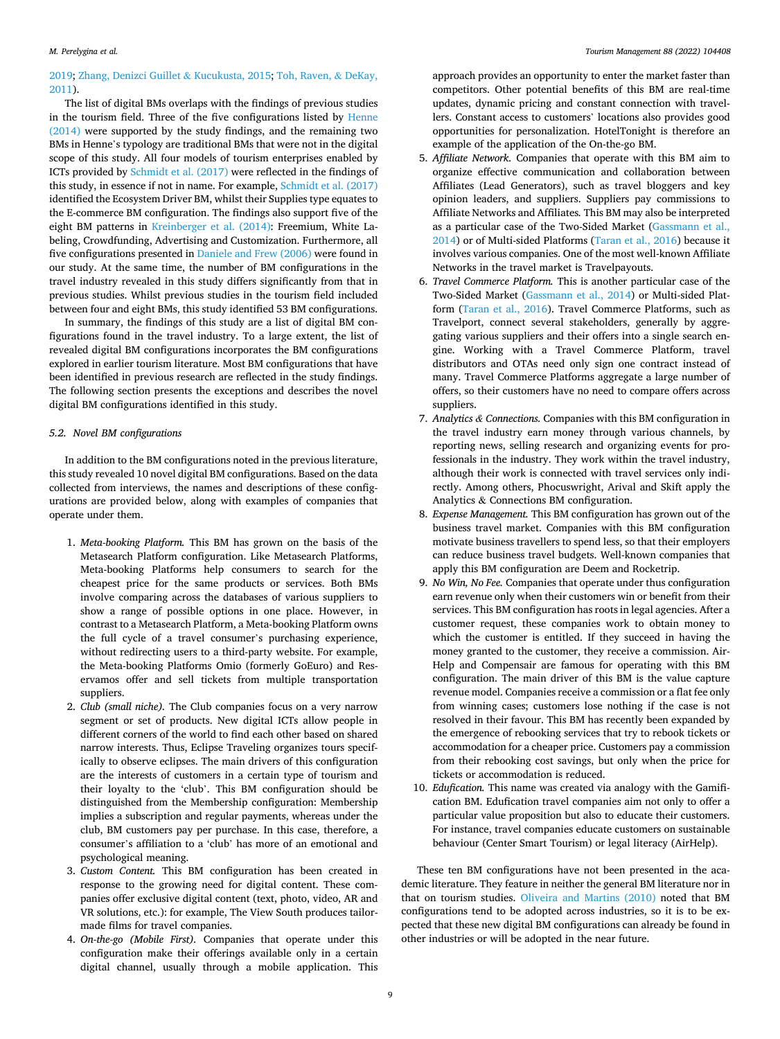# [2019;](#page-11-0) [Zhang, Denizci Guillet](#page-12-0) & Kucukusta, 2015; [Toh, Raven,](#page-11-0) & DeKay, [2011\)](#page-11-0).

The list of digital BMs overlaps with the findings of previous studies in the tourism field. Three of the five configurations listed by [Henne](#page-11-0)  [\(2014\)](#page-11-0) were supported by the study findings, and the remaining two BMs in Henne's typology are traditional BMs that were not in the digital scope of this study. All four models of tourism enterprises enabled by ICTs provided by [Schmidt et al. \(2017\)](#page-11-0) were reflected in the findings of this study, in essence if not in name. For example, [Schmidt et al. \(2017\)](#page-11-0)  identified the Ecosystem Driver BM, whilst their Supplies type equates to the E-commerce BM configuration. The findings also support five of the eight BM patterns in [Kreinberger et al. \(2014\):](#page-11-0) Freemium, White Labeling, Crowdfunding, Advertising and Customization. Furthermore, all five configurations presented in [Daniele and Frew \(2006\)](#page-10-0) were found in our study. At the same time, the number of BM configurations in the travel industry revealed in this study differs significantly from that in previous studies. Whilst previous studies in the tourism field included between four and eight BMs, this study identified 53 BM configurations.

In summary, the findings of this study are a list of digital BM configurations found in the travel industry. To a large extent, the list of revealed digital BM configurations incorporates the BM configurations explored in earlier tourism literature. Most BM configurations that have been identified in previous research are reflected in the study findings. The following section presents the exceptions and describes the novel digital BM configurations identified in this study.

## *5.2. Novel BM configurations*

In addition to the BM configurations noted in the previous literature, this study revealed 10 novel digital BM configurations. Based on the data collected from interviews, the names and descriptions of these configurations are provided below, along with examples of companies that operate under them.

- 1. *Meta-booking Platform.* This BM has grown on the basis of the Metasearch Platform configuration. Like Metasearch Platforms, Meta-booking Platforms help consumers to search for the cheapest price for the same products or services. Both BMs involve comparing across the databases of various suppliers to show a range of possible options in one place. However, in contrast to a Metasearch Platform, a Meta-booking Platform owns the full cycle of a travel consumer's purchasing experience, without redirecting users to a third-party website. For example, the Meta-booking Platforms Omio (formerly GoEuro) and Reservamos offer and sell tickets from multiple transportation suppliers.
- 2. *Club (small niche).* The Club companies focus on a very narrow segment or set of products. New digital ICTs allow people in different corners of the world to find each other based on shared narrow interests. Thus, Eclipse Traveling organizes tours specifically to observe eclipses. The main drivers of this configuration are the interests of customers in a certain type of tourism and their loyalty to the 'club'. This BM configuration should be distinguished from the Membership configuration: Membership implies a subscription and regular payments, whereas under the club, BM customers pay per purchase. In this case, therefore, a consumer's affiliation to a 'club' has more of an emotional and psychological meaning.
- 3. *Custom Content.* This BM configuration has been created in response to the growing need for digital content. These companies offer exclusive digital content (text, photo, video, AR and VR solutions, etc.): for example, The View South produces tailormade films for travel companies.
- 4. *On-the-go (Mobile First).* Companies that operate under this configuration make their offerings available only in a certain digital channel, usually through a mobile application. This

approach provides an opportunity to enter the market faster than competitors. Other potential benefits of this BM are real-time updates, dynamic pricing and constant connection with travellers. Constant access to customers' locations also provides good opportunities for personalization. HotelTonight is therefore an example of the application of the On-the-go BM.

- 5. *Affiliate Network.* Companies that operate with this BM aim to organize effective communication and collaboration between Affiliates (Lead Generators), such as travel bloggers and key opinion leaders, and suppliers. Suppliers pay commissions to Affiliate Networks and Affiliates*.* This BM may also be interpreted as a particular case of the Two-Sided Market [\(Gassmann et al.,](#page-11-0)  [2014](#page-11-0)) or of Multi-sided Platforms [\(Taran et al., 2016](#page-11-0)) because it involves various companies. One of the most well-known Affiliate Networks in the travel market is Travelpayouts.
- 6. *Travel Commerce Platform.* This is another particular case of the Two-Sided Market ([Gassmann et al., 2014\)](#page-11-0) or Multi-sided Platform [\(Taran et al., 2016](#page-11-0)). Travel Commerce Platforms, such as Travelport, connect several stakeholders, generally by aggregating various suppliers and their offers into a single search engine. Working with a Travel Commerce Platform, travel distributors and OTAs need only sign one contract instead of many. Travel Commerce Platforms aggregate a large number of offers, so their customers have no need to compare offers across suppliers.
- 7. *Analytics & Connections.* Companies with this BM configuration in the travel industry earn money through various channels, by reporting news, selling research and organizing events for professionals in the industry. They work within the travel industry, although their work is connected with travel services only indirectly. Among others, Phocuswright, Arival and Skift apply the Analytics & Connections BM configuration.
- 8. *Expense Management.* This BM configuration has grown out of the business travel market. Companies with this BM configuration motivate business travellers to spend less, so that their employers can reduce business travel budgets. Well-known companies that apply this BM configuration are Deem and Rocketrip.
- 9. *No Win, No Fee.* Companies that operate under thus configuration earn revenue only when their customers win or benefit from their services. This BM configuration has roots in legal agencies. After a customer request, these companies work to obtain money to which the customer is entitled. If they succeed in having the money granted to the customer, they receive a commission. Air-Help and Compensair are famous for operating with this BM configuration. The main driver of this BM is the value capture revenue model. Companies receive a commission or a flat fee only from winning cases; customers lose nothing if the case is not resolved in their favour. This BM has recently been expanded by the emergence of rebooking services that try to rebook tickets or accommodation for a cheaper price. Customers pay a commission from their rebooking cost savings, but only when the price for tickets or accommodation is reduced.
- 10. *Edufication.* This name was created via analogy with the Gamification BM. Edufication travel companies aim not only to offer a particular value proposition but also to educate their customers. For instance, travel companies educate customers on sustainable behaviour (Center Smart Tourism) or legal literacy (AirHelp).

These ten BM configurations have not been presented in the academic literature. They feature in neither the general BM literature nor in that on tourism studies. [Oliveira and Martins \(2010\)](#page-11-0) noted that BM configurations tend to be adopted across industries, so it is to be expected that these new digital BM configurations can already be found in other industries or will be adopted in the near future.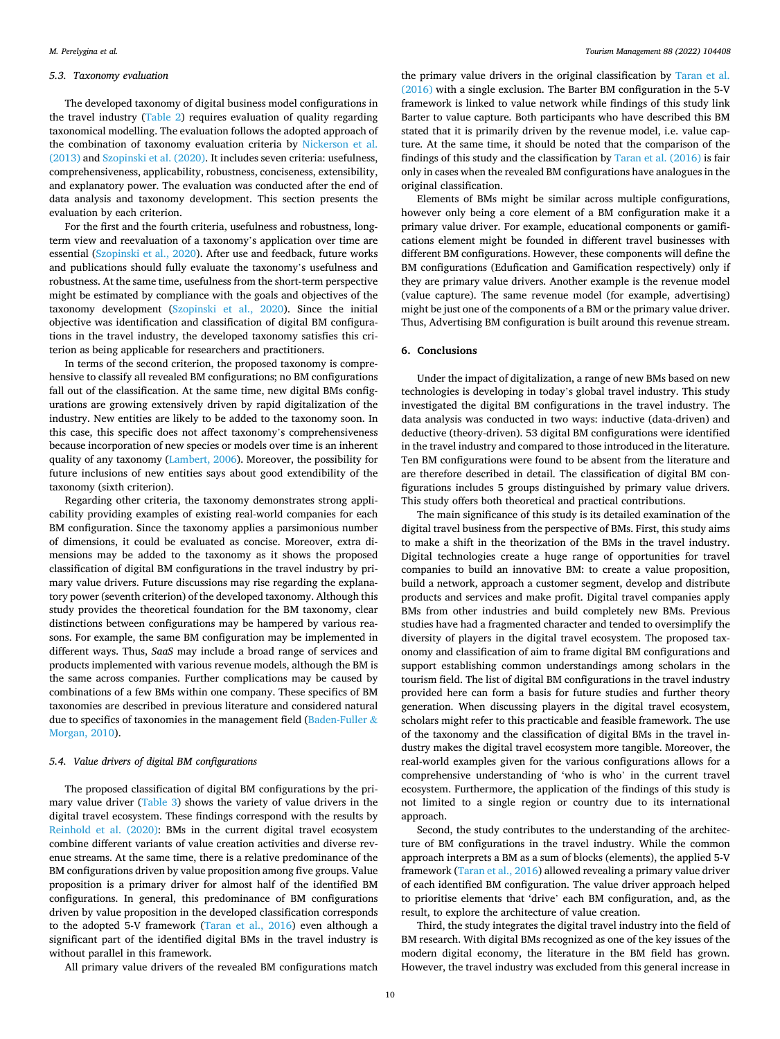#### *5.3. Taxonomy evaluation*

The developed taxonomy of digital business model configurations in the travel industry [\(Table 2](#page-5-0)) requires evaluation of quality regarding taxonomical modelling. The evaluation follows the adopted approach of the combination of taxonomy evaluation criteria by [Nickerson et al.](#page-11-0)  [\(2013\)](#page-11-0) and [Szopinski et al. \(2020\).](#page-11-0) It includes seven criteria: usefulness, comprehensiveness, applicability, robustness, conciseness, extensibility, and explanatory power. The evaluation was conducted after the end of data analysis and taxonomy development. This section presents the evaluation by each criterion.

For the first and the fourth criteria, usefulness and robustness, longterm view and reevaluation of a taxonomy's application over time are essential [\(Szopinski et al., 2020\)](#page-11-0). After use and feedback, future works and publications should fully evaluate the taxonomy's usefulness and robustness. At the same time, usefulness from the short-term perspective might be estimated by compliance with the goals and objectives of the taxonomy development ([Szopinski et al., 2020\)](#page-11-0). Since the initial objective was identification and classification of digital BM configurations in the travel industry, the developed taxonomy satisfies this criterion as being applicable for researchers and practitioners.

In terms of the second criterion, the proposed taxonomy is comprehensive to classify all revealed BM configurations; no BM configurations fall out of the classification. At the same time, new digital BMs configurations are growing extensively driven by rapid digitalization of the industry. New entities are likely to be added to the taxonomy soon. In this case, this specific does not affect taxonomy's comprehensiveness because incorporation of new species or models over time is an inherent quality of any taxonomy [\(Lambert, 2006\)](#page-11-0). Moreover, the possibility for future inclusions of new entities says about good extendibility of the taxonomy (sixth criterion).

Regarding other criteria, the taxonomy demonstrates strong applicability providing examples of existing real-world companies for each BM configuration. Since the taxonomy applies a parsimonious number of dimensions, it could be evaluated as concise. Moreover, extra dimensions may be added to the taxonomy as it shows the proposed classification of digital BM configurations in the travel industry by primary value drivers. Future discussions may rise regarding the explanatory power (seventh criterion) of the developed taxonomy. Although this study provides the theoretical foundation for the BM taxonomy, clear distinctions between configurations may be hampered by various reasons. For example, the same BM configuration may be implemented in different ways. Thus, *SaaS* may include a broad range of services and products implemented with various revenue models, although the BM is the same across companies. Further complications may be caused by combinations of a few BMs within one company. These specifics of BM taxonomies are described in previous literature and considered natural due to specifics of taxonomies in the management field [\(Baden-Fuller](#page-10-0)  $\&$ [Morgan, 2010](#page-10-0)).

#### *5.4. Value drivers of digital BM configurations*

The proposed classification of digital BM configurations by the primary value driver [\(Table 3](#page-7-0)) shows the variety of value drivers in the digital travel ecosystem. These findings correspond with the results by [Reinhold et al. \(2020\):](#page-11-0) BMs in the current digital travel ecosystem combine different variants of value creation activities and diverse revenue streams. At the same time, there is a relative predominance of the BM configurations driven by value proposition among five groups. Value proposition is a primary driver for almost half of the identified BM configurations. In general, this predominance of BM configurations driven by value proposition in the developed classification corresponds to the adopted 5-V framework [\(Taran et al., 2016\)](#page-11-0) even although a significant part of the identified digital BMs in the travel industry is without parallel in this framework.

All primary value drivers of the revealed BM configurations match

the primary value drivers in the original classification by [Taran et al.](#page-11-0)  [\(2016\)](#page-11-0) with a single exclusion. The Barter BM configuration in the 5-V framework is linked to value network while findings of this study link Barter to value capture. Both participants who have described this BM stated that it is primarily driven by the revenue model, i.e. value capture. At the same time, it should be noted that the comparison of the findings of this study and the classification by [Taran et al. \(2016\)](#page-11-0) is fair only in cases when the revealed BM configurations have analogues in the original classification.

Elements of BMs might be similar across multiple configurations, however only being a core element of a BM configuration make it a primary value driver. For example, educational components or gamifications element might be founded in different travel businesses with different BM configurations. However, these components will define the BM configurations (Edufication and Gamification respectively) only if they are primary value drivers. Another example is the revenue model (value capture). The same revenue model (for example, advertising) might be just one of the components of a BM or the primary value driver. Thus, Advertising BM configuration is built around this revenue stream.

# **6. Conclusions**

Under the impact of digitalization, a range of new BMs based on new technologies is developing in today's global travel industry. This study investigated the digital BM configurations in the travel industry. The data analysis was conducted in two ways: inductive (data-driven) and deductive (theory-driven). 53 digital BM configurations were identified in the travel industry and compared to those introduced in the literature. Ten BM configurations were found to be absent from the literature and are therefore described in detail. The classification of digital BM configurations includes 5 groups distinguished by primary value drivers. This study offers both theoretical and practical contributions.

The main significance of this study is its detailed examination of the digital travel business from the perspective of BMs. First, this study aims to make a shift in the theorization of the BMs in the travel industry. Digital technologies create a huge range of opportunities for travel companies to build an innovative BM: to create a value proposition, build a network, approach a customer segment, develop and distribute products and services and make profit. Digital travel companies apply BMs from other industries and build completely new BMs. Previous studies have had a fragmented character and tended to oversimplify the diversity of players in the digital travel ecosystem. The proposed taxonomy and classification of aim to frame digital BM configurations and support establishing common understandings among scholars in the tourism field. The list of digital BM configurations in the travel industry provided here can form a basis for future studies and further theory generation. When discussing players in the digital travel ecosystem, scholars might refer to this practicable and feasible framework. The use of the taxonomy and the classification of digital BMs in the travel industry makes the digital travel ecosystem more tangible. Moreover, the real-world examples given for the various configurations allows for a comprehensive understanding of 'who is who' in the current travel ecosystem. Furthermore, the application of the findings of this study is not limited to a single region or country due to its international approach.

Second, the study contributes to the understanding of the architecture of BM configurations in the travel industry. While the common approach interprets a BM as a sum of blocks (elements), the applied 5-V framework ([Taran et al., 2016](#page-11-0)) allowed revealing a primary value driver of each identified BM configuration. The value driver approach helped to prioritise elements that 'drive' each BM configuration, and, as the result, to explore the architecture of value creation.

Third, the study integrates the digital travel industry into the field of BM research. With digital BMs recognized as one of the key issues of the modern digital economy, the literature in the BM field has grown. However, the travel industry was excluded from this general increase in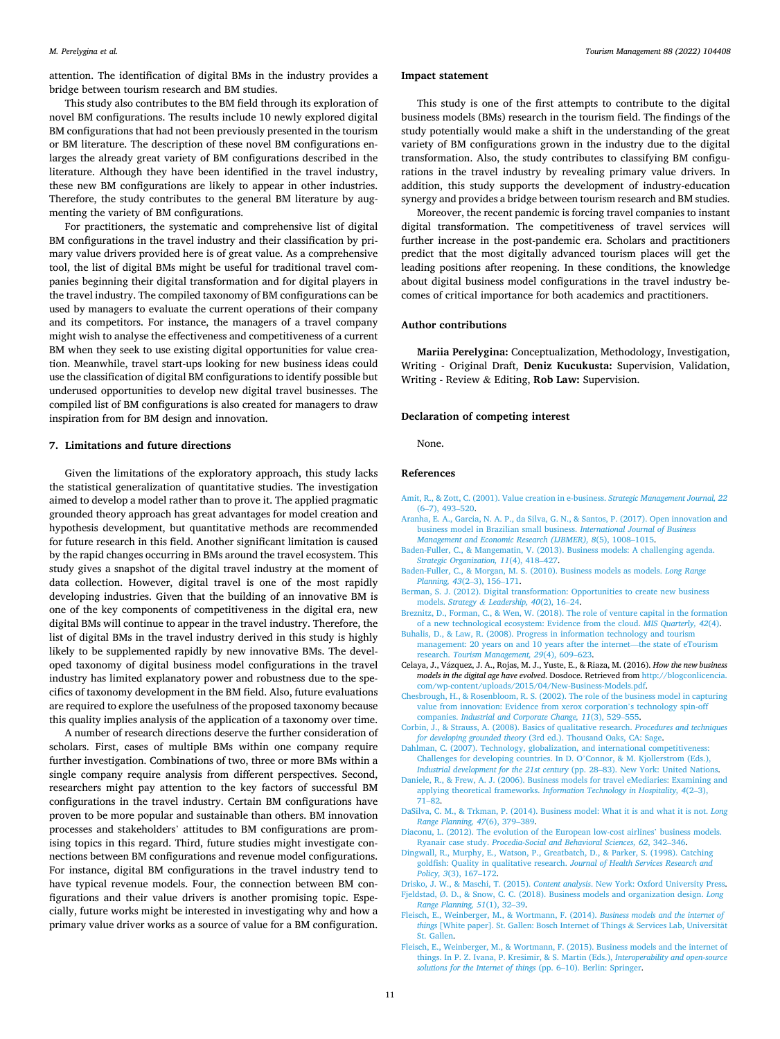<span id="page-10-0"></span>attention. The identification of digital BMs in the industry provides a bridge between tourism research and BM studies.

This study also contributes to the BM field through its exploration of novel BM configurations. The results include 10 newly explored digital BM configurations that had not been previously presented in the tourism or BM literature. The description of these novel BM configurations enlarges the already great variety of BM configurations described in the literature. Although they have been identified in the travel industry, these new BM configurations are likely to appear in other industries. Therefore, the study contributes to the general BM literature by augmenting the variety of BM configurations.

For practitioners, the systematic and comprehensive list of digital BM configurations in the travel industry and their classification by primary value drivers provided here is of great value. As a comprehensive tool, the list of digital BMs might be useful for traditional travel companies beginning their digital transformation and for digital players in the travel industry. The compiled taxonomy of BM configurations can be used by managers to evaluate the current operations of their company and its competitors. For instance, the managers of a travel company might wish to analyse the effectiveness and competitiveness of a current BM when they seek to use existing digital opportunities for value creation. Meanwhile, travel start-ups looking for new business ideas could use the classification of digital BM configurations to identify possible but underused opportunities to develop new digital travel businesses. The compiled list of BM configurations is also created for managers to draw inspiration from for BM design and innovation.

#### **7. Limitations and future directions**

Given the limitations of the exploratory approach, this study lacks the statistical generalization of quantitative studies. The investigation aimed to develop a model rather than to prove it. The applied pragmatic grounded theory approach has great advantages for model creation and hypothesis development, but quantitative methods are recommended for future research in this field. Another significant limitation is caused by the rapid changes occurring in BMs around the travel ecosystem. This study gives a snapshot of the digital travel industry at the moment of data collection. However, digital travel is one of the most rapidly developing industries. Given that the building of an innovative BM is one of the key components of competitiveness in the digital era, new digital BMs will continue to appear in the travel industry. Therefore, the list of digital BMs in the travel industry derived in this study is highly likely to be supplemented rapidly by new innovative BMs. The developed taxonomy of digital business model configurations in the travel industry has limited explanatory power and robustness due to the specifics of taxonomy development in the BM field. Also, future evaluations are required to explore the usefulness of the proposed taxonomy because this quality implies analysis of the application of a taxonomy over time.

A number of research directions deserve the further consideration of scholars. First, cases of multiple BMs within one company require further investigation. Combinations of two, three or more BMs within a single company require analysis from different perspectives. Second, researchers might pay attention to the key factors of successful BM configurations in the travel industry. Certain BM configurations have proven to be more popular and sustainable than others. BM innovation processes and stakeholders' attitudes to BM configurations are promising topics in this regard. Third, future studies might investigate connections between BM configurations and revenue model configurations. For instance, digital BM configurations in the travel industry tend to have typical revenue models. Four, the connection between BM configurations and their value drivers is another promising topic. Especially, future works might be interested in investigating why and how a primary value driver works as a source of value for a BM configuration.

#### **Impact statement**

This study is one of the first attempts to contribute to the digital business models (BMs) research in the tourism field. The findings of the study potentially would make a shift in the understanding of the great variety of BM configurations grown in the industry due to the digital transformation. Also, the study contributes to classifying BM configurations in the travel industry by revealing primary value drivers. In addition, this study supports the development of industry-education synergy and provides a bridge between tourism research and BM studies.

Moreover, the recent pandemic is forcing travel companies to instant digital transformation. The competitiveness of travel services will further increase in the post-pandemic era. Scholars and practitioners predict that the most digitally advanced tourism places will get the leading positions after reopening. In these conditions, the knowledge about digital business model configurations in the travel industry becomes of critical importance for both academics and practitioners.

#### **Author contributions**

**Mariia Perelygina:** Conceptualization, Methodology, Investigation, Writing - Original Draft, **Deniz Kucukusta:** Supervision, Validation, Writing - Review & Editing, **Rob Law:** Supervision.

#### **Declaration of competing interest**

None.

#### **References**

- [Amit, R., & Zott, C. \(2001\). Value creation in e-business.](http://refhub.elsevier.com/S0261-5177(21)00127-8/sref1) *Strategic Management Journal, 22*  (6–[7\), 493](http://refhub.elsevier.com/S0261-5177(21)00127-8/sref1)–520.
- [Aranha, E. A., Garcia, N. A. P., da Silva, G. N., & Santos, P. \(2017\). Open innovation and](http://refhub.elsevier.com/S0261-5177(21)00127-8/sref2)  [business model in Brazilian small business.](http://refhub.elsevier.com/S0261-5177(21)00127-8/sref2) *International Journal of Business [Management and Economic Research \(IJBMER\), 8](http://refhub.elsevier.com/S0261-5177(21)00127-8/sref2)*(5), 1008–1015.
- [Baden-Fuller, C., & Mangematin, V. \(2013\). Business models: A challenging agenda.](http://refhub.elsevier.com/S0261-5177(21)00127-8/sref3) *[Strategic Organization, 11](http://refhub.elsevier.com/S0261-5177(21)00127-8/sref3)*(4), 418–427.
- [Baden-Fuller, C., & Morgan, M. S. \(2010\). Business models as models.](http://refhub.elsevier.com/S0261-5177(21)00127-8/sref4) *Long Range [Planning, 43](http://refhub.elsevier.com/S0261-5177(21)00127-8/sref4)*(2–3), 156–171.
- [Berman, S. J. \(2012\). Digital transformation: Opportunities to create new business](http://refhub.elsevier.com/S0261-5177(21)00127-8/sref5)  models. *Strategy & [Leadership, 40](http://refhub.elsevier.com/S0261-5177(21)00127-8/sref5)*(2), 16–24.
- [Breznitz, D., Forman, C., & Wen, W. \(2018\). The role of venture capital in the formation](http://refhub.elsevier.com/S0261-5177(21)00127-8/sref6)  [of a new technological ecosystem: Evidence from the cloud.](http://refhub.elsevier.com/S0261-5177(21)00127-8/sref6) *MIS Quarterly, 42*(4).
- [Buhalis, D., & Law, R. \(2008\). Progress in information technology and tourism](http://refhub.elsevier.com/S0261-5177(21)00127-8/sref7) [management: 20 years on and 10 years after the internet](http://refhub.elsevier.com/S0261-5177(21)00127-8/sref7)—the state of eTourism research. *[Tourism Management, 29](http://refhub.elsevier.com/S0261-5177(21)00127-8/sref7)*(4), 609–623.
- Celaya, J., Vázquez, J. A., Rojas, M. J., Yuste, E., & Riaza, M. (2016). *How the new business models in the digital age have evolved*. Dosdoce. Retrieved from [http://blogconlicencia.](http://blogconlicencia.com/wp-content/uploads/2015/04/New-Business-Models.pdf)  [com/wp-content/uploads/2015/04/New-Business-Models.pdf](http://blogconlicencia.com/wp-content/uploads/2015/04/New-Business-Models.pdf).
- [Chesbrough, H., & Rosenbloom, R. S. \(2002\). The role of the business model in capturing](http://refhub.elsevier.com/S0261-5177(21)00127-8/sref9)  [value from innovation: Evidence from xerox corporation](http://refhub.elsevier.com/S0261-5177(21)00127-8/sref9)'s technology spin-off companies. *[Industrial and Corporate Change, 11](http://refhub.elsevier.com/S0261-5177(21)00127-8/sref9)*(3), 529–555.
- [Corbin, J., & Strauss, A. \(2008\). Basics of qualitative research.](http://refhub.elsevier.com/S0261-5177(21)00127-8/sref10) *Procedures and techniques for developing grounded theory* [\(3rd ed.\). Thousand Oaks, CA: Sage.](http://refhub.elsevier.com/S0261-5177(21)00127-8/sref10)
- [Dahlman, C. \(2007\). Technology, globalization, and international competitiveness:](http://refhub.elsevier.com/S0261-5177(21)00127-8/sref11) [Challenges for developing countries. In D. O](http://refhub.elsevier.com/S0261-5177(21)00127-8/sref11)'Connor, & M. Kjollerstrom (Eds.), *[Industrial development for the 21st century](http://refhub.elsevier.com/S0261-5177(21)00127-8/sref11)* (pp. 28–83). New York: United Nations.
- [Daniele, R., & Frew, A. J. \(2006\). Business models for travel eMediaries: Examining and](http://refhub.elsevier.com/S0261-5177(21)00127-8/sref12)  applying theoretical frameworks. *[Information Technology in Hospitality, 4](http://refhub.elsevier.com/S0261-5177(21)00127-8/sref12)*(2–3), 71–[82](http://refhub.elsevier.com/S0261-5177(21)00127-8/sref12).
- [DaSilva, C. M., & Trkman, P. \(2014\). Business model: What it is and what it is not.](http://refhub.elsevier.com/S0261-5177(21)00127-8/sref13) *Long [Range Planning, 47](http://refhub.elsevier.com/S0261-5177(21)00127-8/sref13)*(6), 379–389.
- [Diaconu, L. \(2012\). The evolution of the European low-cost airlines](http://refhub.elsevier.com/S0261-5177(21)00127-8/sref14)' business models. Ryanair case study. *[Procedia-Social and Behavioral Sciences, 62](http://refhub.elsevier.com/S0261-5177(21)00127-8/sref14)*, 342–346.
- [Dingwall, R., Murphy, E., Watson, P., Greatbatch, D., & Parker, S. \(1998\). Catching](http://refhub.elsevier.com/S0261-5177(21)00127-8/sref15)  [goldfish: Quality in qualitative research.](http://refhub.elsevier.com/S0261-5177(21)00127-8/sref15) *Journal of Health Services Research and [Policy, 3](http://refhub.elsevier.com/S0261-5177(21)00127-8/sref15)*(3), 167–172.
- Drisko, J. W., & Maschi, T. (2015). *Content analysis*[. New York: Oxford University Press.](http://refhub.elsevier.com/S0261-5177(21)00127-8/sref16) Fjeldstad, Ø[. D., & Snow, C. C. \(2018\). Business models and organization design.](http://refhub.elsevier.com/S0261-5177(21)00127-8/sref17) *Long [Range Planning, 51](http://refhub.elsevier.com/S0261-5177(21)00127-8/sref17)*(1), 32–39.
- [Fleisch, E., Weinberger, M., & Wortmann, F. \(2014\).](http://refhub.elsevier.com/S0261-5177(21)00127-8/sref18) *Business models and the internet of*  things [\[White paper\]. St. Gallen: Bosch Internet of Things](http://refhub.elsevier.com/S0261-5177(21)00127-8/sref18) & Services Lab, Universität [St. Gallen](http://refhub.elsevier.com/S0261-5177(21)00127-8/sref18).
- [Fleisch, E., Weinberger, M., & Wortmann, F. \(2015\). Business models and the internet of](http://refhub.elsevier.com/S0261-5177(21)00127-8/sref19)  things. In P. Z. Ivana, P. Krešimir, & S. Martin (Eds.), *Interoperability and open-source [solutions for the Internet of things](http://refhub.elsevier.com/S0261-5177(21)00127-8/sref19)* (pp. 6–10). Berlin: Springer.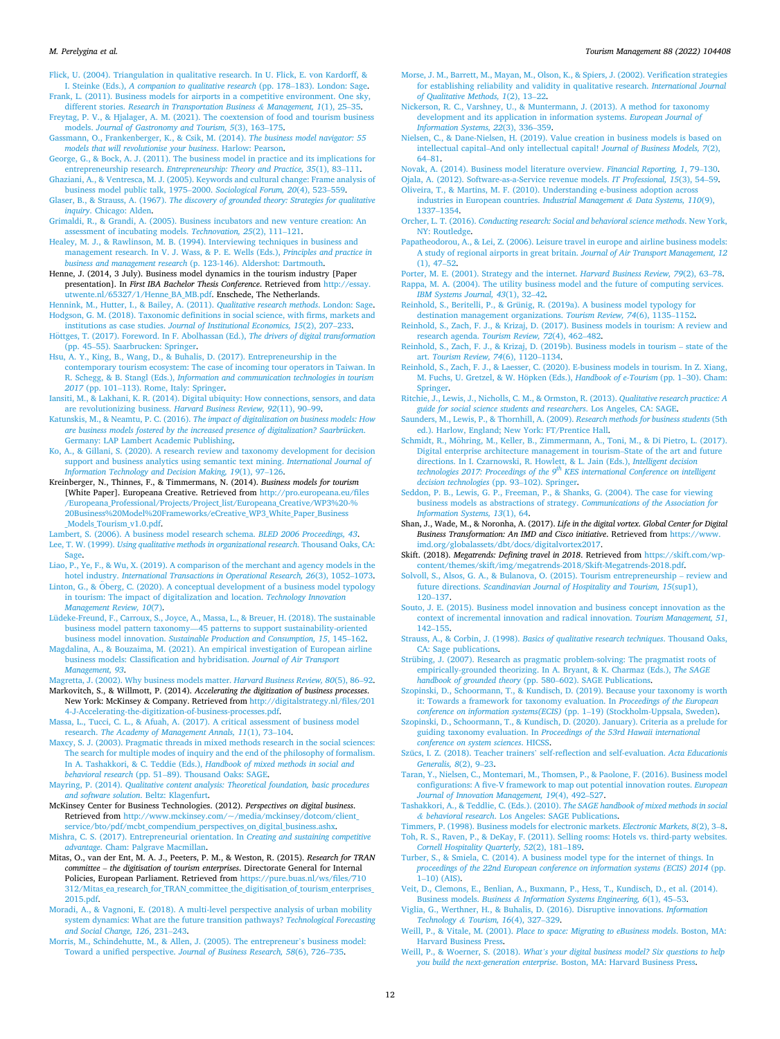#### <span id="page-11-0"></span>*M. Perelygina et al.*

[Flick, U. \(2004\). Triangulation in qualitative research. In U. Flick, E. von Kardorff, &](http://refhub.elsevier.com/S0261-5177(21)00127-8/sref20)  I. Steinke (Eds.), *[A companion to qualitative research](http://refhub.elsevier.com/S0261-5177(21)00127-8/sref20)* (pp. 178–183). London: Sage.

[Frank, L. \(2011\). Business models for airports in a competitive environment. One sky,](http://refhub.elsevier.com/S0261-5177(21)00127-8/sref21) different stories. *[Research in Transportation Business](http://refhub.elsevier.com/S0261-5177(21)00127-8/sref21) & Management, 1*(1), 25–35. [Freytag, P. V., & Hjalager, A. M. \(2021\). The coextension of food and tourism business](http://refhub.elsevier.com/S0261-5177(21)00127-8/sref22) 

- models. *[Journal of Gastronomy and Tourism, 5](http://refhub.elsevier.com/S0261-5177(21)00127-8/sref22)*(3), 163–175.
- [Gassmann, O., Frankenberger, K., & Csik, M. \(2014\).](http://refhub.elsevier.com/S0261-5177(21)00127-8/sref23) *The business model navigator: 55 [models that will revolutionise your business](http://refhub.elsevier.com/S0261-5177(21)00127-8/sref23)*. Harlow: Pearson.
- [George, G., & Bock, A. J. \(2011\). The business model in practice and its implications for](http://refhub.elsevier.com/S0261-5177(21)00127-8/sref24)  entrepreneurship research. *[Entrepreneurship: Theory and Practice, 35](http://refhub.elsevier.com/S0261-5177(21)00127-8/sref24)*(1), 83–111.
- [Ghaziani, A., & Ventresca, M. J. \(2005\). Keywords and cultural change: Frame analysis of](http://refhub.elsevier.com/S0261-5177(21)00127-8/sref25)  [business model public talk, 1975](http://refhub.elsevier.com/S0261-5177(21)00127-8/sref25)–2000. *Sociological Forum, 20*(4), 523–559.
- Glaser, B., & Strauss, A. (1967). *[The discovery of grounded theory: Strategies for qualitative](http://refhub.elsevier.com/S0261-5177(21)00127-8/sref27)  inquiry*[. Chicago: Alden.](http://refhub.elsevier.com/S0261-5177(21)00127-8/sref27)
- [Grimaldi, R., & Grandi, A. \(2005\). Business incubators and new venture creation: An](http://refhub.elsevier.com/S0261-5177(21)00127-8/sref28)  [assessment of incubating models.](http://refhub.elsevier.com/S0261-5177(21)00127-8/sref28) *Technovation, 25*(2), 111–121.

[Healey, M. J., & Rawlinson, M. B. \(1994\). Interviewing techniques in business and](http://refhub.elsevier.com/S0261-5177(21)00127-8/sref29)  [management research. In V. J. Wass, & P. E. Wells \(Eds.\),](http://refhub.elsevier.com/S0261-5177(21)00127-8/sref29) *Principles and practice in business and management research* [\(p. 123-146\). Aldershot: Dartmouth.](http://refhub.elsevier.com/S0261-5177(21)00127-8/sref29)

Henne, J. (2014, 3 July). Business model dynamics in the tourism industry [Paper presentation]. In *First IBA Bachelor Thesis Conference*. Retrieved from [http://essay.](http://essay.utwente.nl/65327/1/Henne_BA_MB.pdf) [utwente.nl/65327/1/Henne\\_BA\\_MB.pdf.](http://essay.utwente.nl/65327/1/Henne_BA_MB.pdf) Enschede, The Netherlands.

[Hennink, M., Hutter, I., & Bailey, A. \(2011\).](http://refhub.elsevier.com/S0261-5177(21)00127-8/sref31) *Qualitative research methods*. London: Sage. [Hodgson, G. M. \(2018\). Taxonomic definitions in social science, with firms, markets and](http://refhub.elsevier.com/S0261-5177(21)00127-8/sref32) 

institutions as case studies. *[Journal of Institutional Economics, 15](http://refhub.elsevier.com/S0261-5177(21)00127-8/sref32)*(2), 207–233. Höttges, [T. \(2017\). Foreword. In F. Abolhassan \(Ed.\),](http://refhub.elsevier.com/S0261-5177(21)00127-8/sref33) *The drivers of digital transformation* (pp. 45–[55\). Saarbrucken: Springer.](http://refhub.elsevier.com/S0261-5177(21)00127-8/sref33)

- [Hsu, A. Y., King, B., Wang, D., & Buhalis, D. \(2017\). Entrepreneurship in the](http://refhub.elsevier.com/S0261-5177(21)00127-8/sref35) [contemporary tourism ecosystem: The case of incoming tour operators in Taiwan. In](http://refhub.elsevier.com/S0261-5177(21)00127-8/sref35)  R. Schegg, & B. Stangl (Eds.), *[Information and communication technologies in tourism](http://refhub.elsevier.com/S0261-5177(21)00127-8/sref35)*
- *2017* (pp. 101–[113\). Rome, Italy: Springer](http://refhub.elsevier.com/S0261-5177(21)00127-8/sref35). [Iansiti, M., & Lakhani, K. R. \(2014\). Digital ubiquity: How connections, sensors, and data](http://refhub.elsevier.com/S0261-5177(21)00127-8/sref36)  [are revolutionizing business.](http://refhub.elsevier.com/S0261-5177(21)00127-8/sref36) *Harvard Business Review, 92*(11), 90–99.
- Katunskis, M., & Neamtu, P. C. (2016). *[The impact of digitalization on business models: How](http://refhub.elsevier.com/S0261-5177(21)00127-8/sref37)  [are business models fostered by the increased presence of digitalization? Saarbrücken](http://refhub.elsevier.com/S0261-5177(21)00127-8/sref37)*. [Germany: LAP Lambert Academic Publishing.](http://refhub.elsevier.com/S0261-5177(21)00127-8/sref37)

[Ko, A., & Gillani, S. \(2020\). A research review and taxonomy development for decision](http://refhub.elsevier.com/S0261-5177(21)00127-8/sref38)  [support and business analytics using semantic text mining.](http://refhub.elsevier.com/S0261-5177(21)00127-8/sref38) *International Journal of [Information Technology and Decision Making, 19](http://refhub.elsevier.com/S0261-5177(21)00127-8/sref38)*(1), 97–126.

- Kreinberger, N., Thinnes, F., & Timmermans, N. (2014). *Business models for tourism*  [White Paper]. Europeana Creative. Retrieved from [http://pro.europeana.eu/files](http://pro.europeana.eu/files/Europeana_Professional/Projects/Project_list/Europeana_Creative/WP3%20-%20Business%20Model%20Frameworks/eCreative_WP3_White_Paper_Business_Models_Tourism_v1.0.pdf)  [/Europeana\\_Professional/Projects/Project\\_list/Europeana\\_Creative/WP3%20-%](http://pro.europeana.eu/files/Europeana_Professional/Projects/Project_list/Europeana_Creative/WP3%20-%20Business%20Model%20Frameworks/eCreative_WP3_White_Paper_Business_Models_Tourism_v1.0.pdf) [20Business%20Model%20Frameworks/eCreative\\_WP3\\_White\\_Paper\\_Business](http://pro.europeana.eu/files/Europeana_Professional/Projects/Project_list/Europeana_Creative/WP3%20-%20Business%20Model%20Frameworks/eCreative_WP3_White_Paper_Business_Models_Tourism_v1.0.pdf) [\\_Models\\_Tourism\\_v1.0.pdf.](http://pro.europeana.eu/files/Europeana_Professional/Projects/Project_list/Europeana_Creative/WP3%20-%20Business%20Model%20Frameworks/eCreative_WP3_White_Paper_Business_Models_Tourism_v1.0.pdf)
- [Lambert, S. \(2006\). A business model research schema.](http://refhub.elsevier.com/S0261-5177(21)00127-8/sref40) *BLED 2006 Proceedings, 43*. Lee, T. W. (1999). *[Using qualitative methods in organizational research](http://refhub.elsevier.com/S0261-5177(21)00127-8/sref41)*. Thousand Oaks, CA: [Sage.](http://refhub.elsevier.com/S0261-5177(21)00127-8/sref41)
- [Liao, P., Ye, F., & Wu, X. \(2019\). A comparison of the merchant and agency models in the](http://refhub.elsevier.com/S0261-5177(21)00127-8/sref42)  hotel industry. *[International Transactions in Operational Research, 26](http://refhub.elsevier.com/S0261-5177(21)00127-8/sref42)*(3), 1052–1073.
- Linton, G., & Öberg, C. (2020). A conceptual development of a business model typology [in tourism: The impact of digitalization and location.](http://refhub.elsevier.com/S0261-5177(21)00127-8/sref43) *Technology Innovation [Management Review, 10](http://refhub.elsevier.com/S0261-5177(21)00127-8/sref43)*(7).
- [Lüdeke-Freund, F., Carroux, S., Joyce, A., Massa, L., & Breuer, H. \(2018\). The sustainable](http://refhub.elsevier.com/S0261-5177(21)00127-8/sref44)  business model pattern taxonomy—[45 patterns to support sustainability-oriented](http://refhub.elsevier.com/S0261-5177(21)00127-8/sref44)  business model innovation. *[Sustainable Production and Consumption, 15](http://refhub.elsevier.com/S0261-5177(21)00127-8/sref44)*, 145–162.
- [Magdalina, A., & Bouzaima, M. \(2021\). An empirical investigation of European airline](http://refhub.elsevier.com/S0261-5177(21)00127-8/sref45) [business models: Classification and hybridisation.](http://refhub.elsevier.com/S0261-5177(21)00127-8/sref45) *Journal of Air Transport [Management, 93](http://refhub.elsevier.com/S0261-5177(21)00127-8/sref45)*.
- [Magretta, J. \(2002\). Why business models matter.](http://refhub.elsevier.com/S0261-5177(21)00127-8/sref46) *Harvard Business Review, 80*(5), 86–92. Markovitch, S., & Willmott, P. (2014). *Accelerating the digitization of business processes*.
- New York: McKinsey & Company. Retrieved from [http://digitalstrategy.nl/files/201](http://digitalstrategy.nl/files/2014-J-Accelerating-the-digitization-of-business-processes.pdf)  [4-J-Accelerating-the-digitization-of-business-processes.pdf](http://digitalstrategy.nl/files/2014-J-Accelerating-the-digitization-of-business-processes.pdf).

[Massa, L., Tucci, C. L., & Afuah, A. \(2017\). A critical assessment of business model](http://refhub.elsevier.com/S0261-5177(21)00127-8/sref48)  research. *[The Academy of Management Annals, 11](http://refhub.elsevier.com/S0261-5177(21)00127-8/sref48)*(1), 73–104.

[Maxcy, S. J. \(2003\). Pragmatic threads in mixed methods research in the social sciences:](http://refhub.elsevier.com/S0261-5177(21)00127-8/sref49)  [The search for multiple modes of inquiry and the end of the philosophy of formalism.](http://refhub.elsevier.com/S0261-5177(21)00127-8/sref49)  In A. Tashakkori, & C. Teddie (Eds.), *[Handbook of mixed methods in social and](http://refhub.elsevier.com/S0261-5177(21)00127-8/sref49)  behavioral research* (pp. 51–[89\). Thousand Oaks: SAGE](http://refhub.elsevier.com/S0261-5177(21)00127-8/sref49).

Mayring, P. (2014). *[Qualitative content analysis: Theoretical foundation, basic procedures](http://refhub.elsevier.com/S0261-5177(21)00127-8/sref50) [and software solution](http://refhub.elsevier.com/S0261-5177(21)00127-8/sref50)*. Beltz: Klagenfurt.

McKinsey Center for Business Technologies. (2012). *Perspectives on digital business*. Retrieved from [http://www.mckinsey.com/~/media/mckinsey/dotcom/client\\_](http://www.mckinsey.com/%7E/media/mckinsey/dotcom/client_service/bto/pdf/mcbt_compendium_perspectives_on_digital_business.ashx) [service/bto/pdf/mcbt\\_compendium\\_perspectives\\_on\\_digital\\_business.ashx](http://www.mckinsey.com/%7E/media/mckinsey/dotcom/client_service/bto/pdf/mcbt_compendium_perspectives_on_digital_business.ashx).

[Mishra, C. S. \(2017\). Entrepreneurial orientation. In](http://refhub.elsevier.com/S0261-5177(21)00127-8/sref52) *Creating and sustaining competitive advantage*[. Cham: Palgrave Macmillan](http://refhub.elsevier.com/S0261-5177(21)00127-8/sref52).

- Mitas, O., van der Ent, M. A. J., Peeters, P. M., & Weston, R. (2015). *Research for TRAN committee* – *the digitisation of tourism enterprises*. Directorate General for Internal Policies, European Parliament. Retrieved from [https://pure.buas.nl/ws/files/710](https://pure.buas.nl/ws/files/710312/Mitas_ea_research_for_TRAN_committee_the_digitisation_of_tourism_enterprises_2015.pdf)  [312/Mitas\\_ea\\_research\\_for\\_TRAN\\_committee\\_the\\_digitisation\\_of\\_tourism\\_enterprises\\_](https://pure.buas.nl/ws/files/710312/Mitas_ea_research_for_TRAN_committee_the_digitisation_of_tourism_enterprises_2015.pdf)  [2015.pdf.](https://pure.buas.nl/ws/files/710312/Mitas_ea_research_for_TRAN_committee_the_digitisation_of_tourism_enterprises_2015.pdf)
- [Moradi, A., & Vagnoni, E. \(2018\). A multi-level perspective analysis of urban mobility](http://refhub.elsevier.com/S0261-5177(21)00127-8/sref54) [system dynamics: What are the future transition pathways?](http://refhub.elsevier.com/S0261-5177(21)00127-8/sref54) *Technological Forecasting [and Social Change, 126](http://refhub.elsevier.com/S0261-5177(21)00127-8/sref54)*, 231–243.
- [Morris, M., Schindehutte, M., & Allen, J. \(2005\). The entrepreneur](http://refhub.elsevier.com/S0261-5177(21)00127-8/sref55)'s business model: Toward a unified perspective. *[Journal of Business Research, 58](http://refhub.elsevier.com/S0261-5177(21)00127-8/sref55)*(6), 726–735.
- [Morse, J. M., Barrett, M., Mayan, M., Olson, K., & Spiers, J. \(2002\). Verification strategies](http://refhub.elsevier.com/S0261-5177(21)00127-8/sref56)  [for establishing reliability and validity in qualitative research.](http://refhub.elsevier.com/S0261-5177(21)00127-8/sref56) *International Journal [of Qualitative Methods, 1](http://refhub.elsevier.com/S0261-5177(21)00127-8/sref56)*(2), 13–22.
- [Nickerson, R. C., Varshney, U., & Muntermann, J. \(2013\). A method for taxonomy](http://refhub.elsevier.com/S0261-5177(21)00127-8/sref57) [development and its application in information systems.](http://refhub.elsevier.com/S0261-5177(21)00127-8/sref57) *European Journal of [Information Systems, 22](http://refhub.elsevier.com/S0261-5177(21)00127-8/sref57)*(3), 336–359.
- [Nielsen, C., & Dane-Nielsen, H. \(2019\). Value creation in business models is based on](http://refhub.elsevier.com/S0261-5177(21)00127-8/sref58) intellectual capital–[And only intellectual capital!](http://refhub.elsevier.com/S0261-5177(21)00127-8/sref58) *Journal of Business Models, 7*(2),

64–[81](http://refhub.elsevier.com/S0261-5177(21)00127-8/sref58). [Novak, A. \(2014\). Business model literature overview.](http://refhub.elsevier.com/S0261-5177(21)00127-8/sref59) *Financial Reporting, 1*, 79–130. [Ojala, A. \(2012\). Software-as-a-Service revenue models.](http://refhub.elsevier.com/S0261-5177(21)00127-8/sref60) *IT Professional, 15*(3), 54–59.

[Oliveira, T., & Martins, M. F. \(2010\). Understanding e-business adoption across](http://refhub.elsevier.com/S0261-5177(21)00127-8/sref61)

[industries in European countries.](http://refhub.elsevier.com/S0261-5177(21)00127-8/sref61) *Industrial Management & Data Systems, 110*(9), [1337](http://refhub.elsevier.com/S0261-5177(21)00127-8/sref61)–1354.

Orcher, L. T. (2016). *[Conducting research: Social and behavioral science methods](http://refhub.elsevier.com/S0261-5177(21)00127-8/sref62)*. New York, [NY: Routledge.](http://refhub.elsevier.com/S0261-5177(21)00127-8/sref62)

- [Papatheodorou, A., & Lei, Z. \(2006\). Leisure travel in europe and airline business models:](http://refhub.elsevier.com/S0261-5177(21)00127-8/sref63)  [A study of regional airports in great britain.](http://refhub.elsevier.com/S0261-5177(21)00127-8/sref63) *Journal of Air Transport Management, 12*   $(1), 47-52.$  $(1), 47-52.$
- [Porter, M. E. \(2001\). Strategy and the internet.](http://refhub.elsevier.com/S0261-5177(21)00127-8/sref64) *Harvard Business Review, 79*(2), 63–78. [Rappa, M. A. \(2004\). The utility business model and the future of computing services.](http://refhub.elsevier.com/S0261-5177(21)00127-8/sref65)  *[IBM Systems Journal, 43](http://refhub.elsevier.com/S0261-5177(21)00127-8/sref65)*(1), 32–42.

[Reinhold, S., Beritelli, P., & Grünig, R. \(2019a\). A business model typology for](http://refhub.elsevier.com/S0261-5177(21)00127-8/sref66) [destination management organizations.](http://refhub.elsevier.com/S0261-5177(21)00127-8/sref66) *Tourism Review, 74*(6), 1135–1152.

- [Reinhold, S., Zach, F. J., & Krizaj, D. \(2017\). Business models in tourism: A review and](http://refhub.elsevier.com/S0261-5177(21)00127-8/sref67)  research agenda. *[Tourism Review, 72](http://refhub.elsevier.com/S0261-5177(21)00127-8/sref67)*(4), 462–482.
- [Reinhold, S., Zach, F. J., & Krizaj, D. \(2019b\). Business models in tourism](http://refhub.elsevier.com/S0261-5177(21)00127-8/sref68)  state of the art. *[Tourism Review, 74](http://refhub.elsevier.com/S0261-5177(21)00127-8/sref68)*(6), 1120–1134.
- [Reinhold, S., Zach, F. J., & Laesser, C. \(2020\). E-business models in tourism. In Z. Xiang,](http://refhub.elsevier.com/S0261-5177(21)00127-8/sref69)  M. Fuchs, U. Gretzel, & W. Höpken (Eds.), *Handbook of e-Tourism* (pp. 1–30). Cham: [Springer](http://refhub.elsevier.com/S0261-5177(21)00127-8/sref69).
- [Ritchie, J., Lewis, J., Nicholls, C. M., & Ormston, R. \(2013\).](http://refhub.elsevier.com/S0261-5177(21)00127-8/sref70) *Qualitative research practice: A [guide for social science students and researchers](http://refhub.elsevier.com/S0261-5177(21)00127-8/sref70)*. Los Angeles, CA: SAGE.
- [Saunders, M., Lewis, P., & Thornhill, A. \(2009\).](http://refhub.elsevier.com/S0261-5177(21)00127-8/sref71) *Research methods for business students* (5th [ed.\). Harlow, England; New York: FT/Prentice Hall.](http://refhub.elsevier.com/S0261-5177(21)00127-8/sref71)
- Schmidt, R., Möhring, M., Keller, B., Zimmermann, A., Toni, M., & Di Pietro, L. (2017). [Digital enterprise architecture management in tourism](http://refhub.elsevier.com/S0261-5177(21)00127-8/sref72)–State of the art and future [directions. In I. Czarnowski, R. Howlett, & L. Jain \(Eds.\),](http://refhub.elsevier.com/S0261-5177(21)00127-8/sref72) *Intelligent decision technologies 2017: Proceedings of the 9[th KES international Conference on intelligent](http://refhub.elsevier.com/S0261-5177(21)00127-8/sref72)  [decision technologies](http://refhub.elsevier.com/S0261-5177(21)00127-8/sref72)* (pp. 93–102). Springer.
- Seddon, P. B., Lewis, G. P., Freeman, P., & Shanks, G. (2004). The case for viewing [business models as abstractions of strategy.](http://refhub.elsevier.com/S0261-5177(21)00127-8/sref74) *Communications of the Association for [Information Systems, 13](http://refhub.elsevier.com/S0261-5177(21)00127-8/sref74)*(1), 64.
- Shan, J., Wade, M., & Noronha, A. (2017). *Life in the digital vortex. Global Center for Digital Business Transformation: An IMD and Cisco initiative*. Retrieved from [https://www.](https://www.imd.org/globalassets/dbt/docs/digitalvortex2017)  [imd.org/globalassets/dbt/docs/digitalvortex2017.](https://www.imd.org/globalassets/dbt/docs/digitalvortex2017)
- Skift. (2018). *Megatrends: Defining travel in 2018*. Retrieved from [https://skift.com/wp](https://skift.com/wp-content/themes/skift/img/megatrends-2018/Skift-Megatrends-2018.pdf)[content/themes/skift/img/megatrends-2018/Skift-Megatrends-2018.pdf](https://skift.com/wp-content/themes/skift/img/megatrends-2018/Skift-Megatrends-2018.pdf).
- [Solvoll, S., Alsos, G. A., & Bulanova, O. \(2015\). Tourism entrepreneurship](http://refhub.elsevier.com/S0261-5177(21)00127-8/sref77)  review and future directions. *[Scandinavian Journal of Hospitality and Tourism, 15](http://refhub.elsevier.com/S0261-5177(21)00127-8/sref77)*(sup1), 120–[137](http://refhub.elsevier.com/S0261-5177(21)00127-8/sref77).
- [Souto, J. E. \(2015\). Business model innovation and business concept innovation as the](http://refhub.elsevier.com/S0261-5177(21)00127-8/sref78)  [context of incremental innovation and radical innovation.](http://refhub.elsevier.com/S0261-5177(21)00127-8/sref78) *Tourism Management, 51*, 142–[155](http://refhub.elsevier.com/S0261-5177(21)00127-8/sref78).
- Strauss, A., & Corbin, J. (1998). *[Basics of qualitative research techniques](http://refhub.elsevier.com/S0261-5177(21)00127-8/sref79)*. Thousand Oaks, [CA: Sage publications](http://refhub.elsevier.com/S0261-5177(21)00127-8/sref79).
- [Strübing, J. \(2007\). Research as pragmatic problem-solving: The pragmatist roots of](http://refhub.elsevier.com/S0261-5177(21)00127-8/sref80)  [empirically-grounded theorizing. In A. Bryant, & K. Charmaz \(Eds.\),](http://refhub.elsevier.com/S0261-5177(21)00127-8/sref80) *The SAGE [handbook of grounded theory](http://refhub.elsevier.com/S0261-5177(21)00127-8/sref80)* (pp. 580–602). SAGE Publications.
- [Szopinski, D., Schoormann, T., & Kundisch, D. \(2019\). Because your taxonomy is worth](http://refhub.elsevier.com/S0261-5177(21)00127-8/sref81)  [it: Towards a framework for taxonomy evaluation. In](http://refhub.elsevier.com/S0261-5177(21)00127-8/sref81) *Proceedings of the European [conference on information systems\(ECIS\)](http://refhub.elsevier.com/S0261-5177(21)00127-8/sref81)* (pp. 1–19) (Stockholm-Uppsala, Sweden).
- [Szopinski, D., Schoormann, T., & Kundisch, D. \(2020\). January\). Criteria as a prelude for](http://refhub.elsevier.com/S0261-5177(21)00127-8/sref82)  guiding taxonomy evaluation. In *[Proceedings of the 53rd Hawaii international](http://refhub.elsevier.com/S0261-5177(21)00127-8/sref82)  [conference on system sciences](http://refhub.elsevier.com/S0261-5177(21)00127-8/sref82)*. HICSS.
- Szűcs, I. Z. (2018). Teacher trainers' [self-reflection and self-evaluation.](http://refhub.elsevier.com/S0261-5177(21)00127-8/sref83) Acta Educationis *[Generalis, 8](http://refhub.elsevier.com/S0261-5177(21)00127-8/sref83)*(2), 9–23.
- [Taran, Y., Nielsen, C., Montemari, M., Thomsen, P., & Paolone, F. \(2016\). Business model](http://refhub.elsevier.com/S0261-5177(21)00127-8/sref84)  [configurations: A five-V framework to map out potential innovation routes.](http://refhub.elsevier.com/S0261-5177(21)00127-8/sref84) *European [Journal of Innovation Management, 19](http://refhub.elsevier.com/S0261-5177(21)00127-8/sref84)*(4), 492–527.
- Tashakkori, A., & Teddlie, C. (Eds.). (2010). *[The SAGE handbook of mixed methods in social](http://refhub.elsevier.com/S0261-5177(21)00127-8/sref85)  & behavioral research*[. Los Angeles: SAGE Publications](http://refhub.elsevier.com/S0261-5177(21)00127-8/sref85).

[Timmers, P. \(1998\). Business models for electronic markets.](http://refhub.elsevier.com/S0261-5177(21)00127-8/sref86) *Electronic Markets, 8*(2), 3–8. [Toh, R. S., Raven, P., & DeKay, F. \(2011\). Selling rooms: Hotels vs. third-party websites.](http://refhub.elsevier.com/S0261-5177(21)00127-8/sref87)  *[Cornell Hospitality Quarterly, 52](http://refhub.elsevier.com/S0261-5177(21)00127-8/sref87)*(2), 181–189.

- [Turber, S., & Smiela, C. \(2014\). A business model type for the internet of things. In](http://refhub.elsevier.com/S0261-5177(21)00127-8/sref88) *[proceedings of the 22nd European conference on information systems \(ECIS\) 2014](http://refhub.elsevier.com/S0261-5177(21)00127-8/sref88)* (pp. 1–[10\) \(AIS\).](http://refhub.elsevier.com/S0261-5177(21)00127-8/sref88)
- [Veit, D., Clemons, E., Benlian, A., Buxmann, P., Hess, T., Kundisch, D., et al. \(2014\).](http://refhub.elsevier.com/S0261-5177(21)00127-8/sref89) Business models. *Business & [Information Systems Engineering, 6](http://refhub.elsevier.com/S0261-5177(21)00127-8/sref89)*(1), 45–53.

[Viglia, G., Werthner, H., & Buhalis, D. \(2016\). Disruptive innovations.](http://refhub.elsevier.com/S0261-5177(21)00127-8/sref90) *Information Technology & [Tourism, 16](http://refhub.elsevier.com/S0261-5177(21)00127-8/sref90)*(4), 327–329.

- Weill, P., & Vitale, M. (2001). *[Place to space: Migrating to eBusiness models](http://refhub.elsevier.com/S0261-5177(21)00127-8/sref91)*. Boston, MA: [Harvard Business Press](http://refhub.elsevier.com/S0261-5177(21)00127-8/sref91).
- Weill, P., & Woerner, S. (2018). *What'[s your digital business model? Six questions to help](http://refhub.elsevier.com/S0261-5177(21)00127-8/sref92)  you build the next-generation enterprise*[. Boston, MA: Harvard Business Press](http://refhub.elsevier.com/S0261-5177(21)00127-8/sref92).